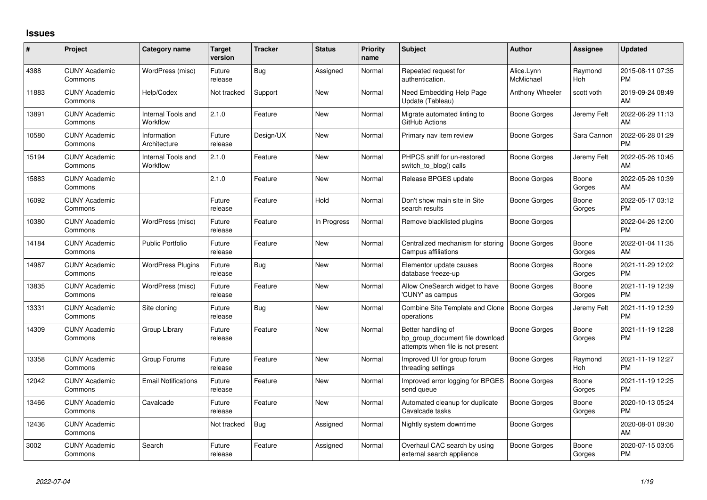## **Issues**

| #     | Project                         | <b>Category name</b>           | <b>Target</b><br>version | <b>Tracker</b> | <b>Status</b> | <b>Priority</b><br>name | <b>Subject</b>                                                                             | <b>Author</b>           | Assignee        | <b>Updated</b>                |
|-------|---------------------------------|--------------------------------|--------------------------|----------------|---------------|-------------------------|--------------------------------------------------------------------------------------------|-------------------------|-----------------|-------------------------------|
| 4388  | <b>CUNY Academic</b><br>Commons | WordPress (misc)               | Future<br>release        | Bug            | Assigned      | Normal                  | Repeated request for<br>authentication.                                                    | Alice.Lynn<br>McMichael | Raymond<br>Hoh  | 2015-08-11 07:35<br><b>PM</b> |
| 11883 | <b>CUNY Academic</b><br>Commons | Help/Codex                     | Not tracked              | Support        | New           | Normal                  | Need Embedding Help Page<br>Update (Tableau)                                               | Anthony Wheeler         | scott voth      | 2019-09-24 08:49<br>AM        |
| 13891 | <b>CUNY Academic</b><br>Commons | Internal Tools and<br>Workflow | 2.1.0                    | Feature        | New           | Normal                  | Migrate automated linting to<br>GitHub Actions                                             | Boone Gorges            | Jeremy Felt     | 2022-06-29 11:13<br>AM        |
| 10580 | <b>CUNY Academic</b><br>Commons | Information<br>Architecture    | Future<br>release        | Design/UX      | New           | Normal                  | Primary nav item review                                                                    | Boone Gorges            | Sara Cannon     | 2022-06-28 01:29<br><b>PM</b> |
| 15194 | <b>CUNY Academic</b><br>Commons | Internal Tools and<br>Workflow | 2.1.0                    | Feature        | <b>New</b>    | Normal                  | PHPCS sniff for un-restored<br>switch to blog() calls                                      | Boone Gorges            | Jeremy Felt     | 2022-05-26 10:45<br>AM        |
| 15883 | <b>CUNY Academic</b><br>Commons |                                | 2.1.0                    | Feature        | New           | Normal                  | Release BPGES update                                                                       | Boone Gorges            | Boone<br>Gorges | 2022-05-26 10:39<br>AM        |
| 16092 | <b>CUNY Academic</b><br>Commons |                                | Future<br>release        | Feature        | Hold          | Normal                  | Don't show main site in Site<br>search results                                             | Boone Gorges            | Boone<br>Gorges | 2022-05-17 03:12<br><b>PM</b> |
| 10380 | <b>CUNY Academic</b><br>Commons | WordPress (misc)               | Future<br>release        | Feature        | In Progress   | Normal                  | Remove blacklisted plugins                                                                 | Boone Gorges            |                 | 2022-04-26 12:00<br><b>PM</b> |
| 14184 | <b>CUNY Academic</b><br>Commons | <b>Public Portfolio</b>        | Future<br>release        | Feature        | <b>New</b>    | Normal                  | Centralized mechanism for storing<br>Campus affiliations                                   | Boone Gorges            | Boone<br>Gorges | 2022-01-04 11:35<br>AM        |
| 14987 | <b>CUNY Academic</b><br>Commons | <b>WordPress Plugins</b>       | Future<br>release        | Bug            | New           | Normal                  | Elementor update causes<br>database freeze-up                                              | Boone Gorges            | Boone<br>Gorges | 2021-11-29 12:02<br><b>PM</b> |
| 13835 | <b>CUNY Academic</b><br>Commons | WordPress (misc)               | Future<br>release        | Feature        | <b>New</b>    | Normal                  | Allow OneSearch widget to have<br>'CUNY' as campus                                         | Boone Gorges            | Boone<br>Gorges | 2021-11-19 12:39<br><b>PM</b> |
| 13331 | <b>CUNY Academic</b><br>Commons | Site cloning                   | Future<br>release        | Bug            | New           | Normal                  | Combine Site Template and Clone<br>operations                                              | <b>Boone Gorges</b>     | Jeremy Felt     | 2021-11-19 12:39<br><b>PM</b> |
| 14309 | <b>CUNY Academic</b><br>Commons | Group Library                  | Future<br>release        | Feature        | <b>New</b>    | Normal                  | Better handling of<br>bp_group_document file download<br>attempts when file is not present | <b>Boone Gorges</b>     | Boone<br>Gorges | 2021-11-19 12:28<br><b>PM</b> |
| 13358 | <b>CUNY Academic</b><br>Commons | Group Forums                   | Future<br>release        | Feature        | <b>New</b>    | Normal                  | Improved UI for group forum<br>threading settings                                          | Boone Gorges            | Raymond<br>Hoh  | 2021-11-19 12:27<br><b>PM</b> |
| 12042 | <b>CUNY Academic</b><br>Commons | <b>Email Notifications</b>     | Future<br>release        | Feature        | New           | Normal                  | Improved error logging for BPGES<br>send queue                                             | <b>Boone Gorges</b>     | Boone<br>Gorges | 2021-11-19 12:25<br><b>PM</b> |
| 13466 | <b>CUNY Academic</b><br>Commons | Cavalcade                      | Future<br>release        | Feature        | New           | Normal                  | Automated cleanup for duplicate<br>Cavalcade tasks                                         | Boone Gorges            | Boone<br>Gorges | 2020-10-13 05:24<br><b>PM</b> |
| 12436 | <b>CUNY Academic</b><br>Commons |                                | Not tracked              | Bug            | Assigned      | Normal                  | Nightly system downtime                                                                    | Boone Gorges            |                 | 2020-08-01 09:30<br>AM        |
| 3002  | <b>CUNY Academic</b><br>Commons | Search                         | Future<br>release        | Feature        | Assigned      | Normal                  | Overhaul CAC search by using<br>external search appliance                                  | Boone Gorges            | Boone<br>Gorges | 2020-07-15 03:05<br>PM        |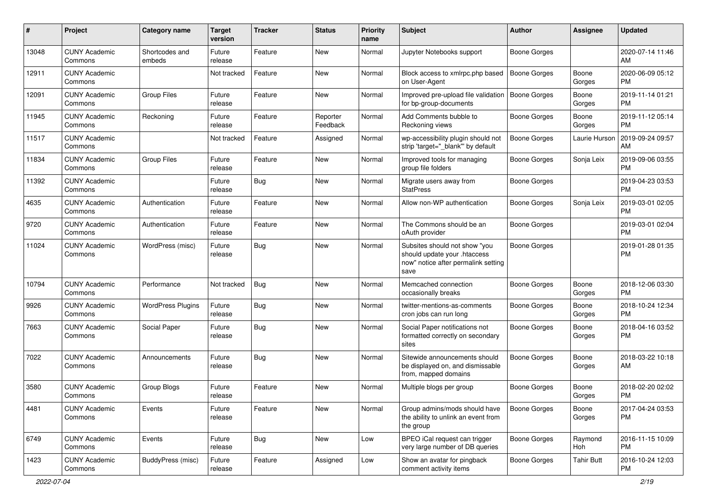| #     | Project                         | <b>Category name</b>     | <b>Target</b><br>version | <b>Tracker</b> | <b>Status</b>        | Priority<br>name | <b>Subject</b>                                                                                               | Author              | <b>Assignee</b>   | <b>Updated</b>                |
|-------|---------------------------------|--------------------------|--------------------------|----------------|----------------------|------------------|--------------------------------------------------------------------------------------------------------------|---------------------|-------------------|-------------------------------|
| 13048 | <b>CUNY Academic</b><br>Commons | Shortcodes and<br>embeds | Future<br>release        | Feature        | <b>New</b>           | Normal           | Jupyter Notebooks support                                                                                    | <b>Boone Gorges</b> |                   | 2020-07-14 11:46<br>AM        |
| 12911 | <b>CUNY Academic</b><br>Commons |                          | Not tracked              | Feature        | New                  | Normal           | Block access to xmlrpc.php based<br>on User-Agent                                                            | Boone Gorges        | Boone<br>Gorges   | 2020-06-09 05:12<br><b>PM</b> |
| 12091 | <b>CUNY Academic</b><br>Commons | <b>Group Files</b>       | Future<br>release        | Feature        | <b>New</b>           | Normal           | Improved pre-upload file validation<br>for bp-group-documents                                                | <b>Boone Gorges</b> | Boone<br>Gorges   | 2019-11-14 01:21<br><b>PM</b> |
| 11945 | <b>CUNY Academic</b><br>Commons | Reckoning                | Future<br>release        | Feature        | Reporter<br>Feedback | Normal           | Add Comments bubble to<br>Reckoning views                                                                    | Boone Gorges        | Boone<br>Gorges   | 2019-11-12 05:14<br><b>PM</b> |
| 11517 | <b>CUNY Academic</b><br>Commons |                          | Not tracked              | Feature        | Assigned             | Normal           | wp-accessibility plugin should not<br>strip 'target=" blank" by default                                      | <b>Boone Gorges</b> | Laurie Hurson     | 2019-09-24 09:57<br>AM        |
| 11834 | <b>CUNY Academic</b><br>Commons | <b>Group Files</b>       | Future<br>release        | Feature        | New                  | Normal           | Improved tools for managing<br>group file folders                                                            | <b>Boone Gorges</b> | Sonja Leix        | 2019-09-06 03:55<br><b>PM</b> |
| 11392 | <b>CUNY Academic</b><br>Commons |                          | Future<br>release        | Bug            | <b>New</b>           | Normal           | Migrate users away from<br><b>StatPress</b>                                                                  | <b>Boone Gorges</b> |                   | 2019-04-23 03:53<br><b>PM</b> |
| 4635  | <b>CUNY Academic</b><br>Commons | Authentication           | Future<br>release        | Feature        | <b>New</b>           | Normal           | Allow non-WP authentication                                                                                  | <b>Boone Gorges</b> | Sonja Leix        | 2019-03-01 02:05<br><b>PM</b> |
| 9720  | <b>CUNY Academic</b><br>Commons | Authentication           | Future<br>release        | Feature        | New                  | Normal           | The Commons should be an<br>oAuth provider                                                                   | <b>Boone Gorges</b> |                   | 2019-03-01 02:04<br><b>PM</b> |
| 11024 | <b>CUNY Academic</b><br>Commons | WordPress (misc)         | Future<br>release        | Bug            | <b>New</b>           | Normal           | Subsites should not show "you<br>should update your .htaccess<br>now" notice after permalink setting<br>save | <b>Boone Gorges</b> |                   | 2019-01-28 01:35<br>PM        |
| 10794 | <b>CUNY Academic</b><br>Commons | Performance              | Not tracked              | Bug            | New                  | Normal           | Memcached connection<br>occasionally breaks                                                                  | <b>Boone Gorges</b> | Boone<br>Gorges   | 2018-12-06 03:30<br><b>PM</b> |
| 9926  | <b>CUNY Academic</b><br>Commons | <b>WordPress Plugins</b> | Future<br>release        | <b>Bug</b>     | New                  | Normal           | twitter-mentions-as-comments<br>cron jobs can run long                                                       | Boone Gorges        | Boone<br>Gorges   | 2018-10-24 12:34<br><b>PM</b> |
| 7663  | <b>CUNY Academic</b><br>Commons | Social Paper             | Future<br>release        | Bug            | <b>New</b>           | Normal           | Social Paper notifications not<br>formatted correctly on secondary<br>sites                                  | Boone Gorges        | Boone<br>Gorges   | 2018-04-16 03:52<br><b>PM</b> |
| 7022  | <b>CUNY Academic</b><br>Commons | Announcements            | Future<br>release        | Bug            | New                  | Normal           | Sitewide announcements should<br>be displayed on, and dismissable<br>from, mapped domains                    | Boone Gorges        | Boone<br>Gorges   | 2018-03-22 10:18<br>AM        |
| 3580  | <b>CUNY Academic</b><br>Commons | Group Blogs              | Future<br>release        | Feature        | <b>New</b>           | Normal           | Multiple blogs per group                                                                                     | Boone Gorges        | Boone<br>Gorges   | 2018-02-20 02:02<br><b>PM</b> |
| 4481  | <b>CUNY Academic</b><br>Commons | Events                   | Future<br>release        | Feature        | New                  | Normal           | Group admins/mods should have<br>the ability to unlink an event from<br>the group                            | <b>Boone Gorges</b> | Boone<br>Gorges   | 2017-04-24 03:53<br><b>PM</b> |
| 6749  | <b>CUNY Academic</b><br>Commons | Events                   | Future<br>release        | Bug            | New                  | Low              | BPEO iCal request can trigger<br>very large number of DB queries                                             | Boone Gorges        | Raymond<br>Hoh    | 2016-11-15 10:09<br><b>PM</b> |
| 1423  | <b>CUNY Academic</b><br>Commons | <b>BuddyPress (misc)</b> | Future<br>release        | Feature        | Assigned             | Low              | Show an avatar for pingback<br>comment activity items                                                        | <b>Boone Gorges</b> | <b>Tahir Butt</b> | 2016-10-24 12:03<br>PM        |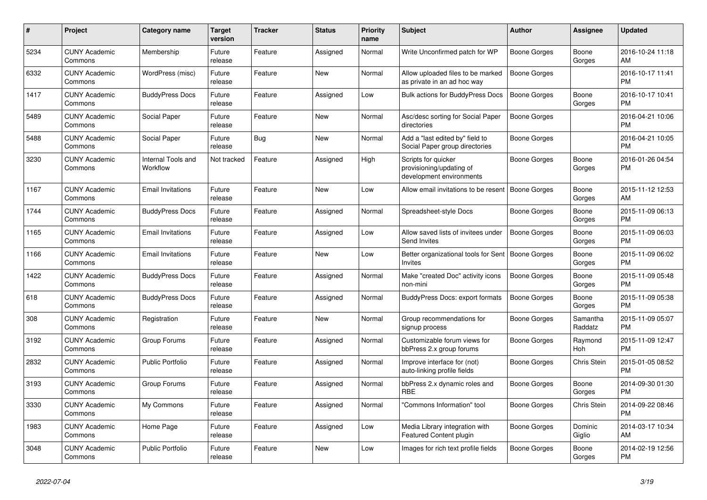| #    | <b>Project</b>                  | <b>Category name</b>           | <b>Target</b><br>version | <b>Tracker</b> | <b>Status</b> | <b>Priority</b><br>name | <b>Subject</b>                                                              | <b>Author</b>       | Assignee            | <b>Updated</b>                |
|------|---------------------------------|--------------------------------|--------------------------|----------------|---------------|-------------------------|-----------------------------------------------------------------------------|---------------------|---------------------|-------------------------------|
| 5234 | <b>CUNY Academic</b><br>Commons | Membership                     | Future<br>release        | Feature        | Assigned      | Normal                  | Write Unconfirmed patch for WP                                              | Boone Gorges        | Boone<br>Gorges     | 2016-10-24 11:18<br>AM        |
| 6332 | <b>CUNY Academic</b><br>Commons | WordPress (misc)               | Future<br>release        | Feature        | New           | Normal                  | Allow uploaded files to be marked<br>as private in an ad hoc way            | <b>Boone Gorges</b> |                     | 2016-10-17 11:41<br><b>PM</b> |
| 1417 | <b>CUNY Academic</b><br>Commons | <b>BuddyPress Docs</b>         | Future<br>release        | Feature        | Assigned      | Low                     | <b>Bulk actions for BuddyPress Docs</b>                                     | Boone Gorges        | Boone<br>Gorges     | 2016-10-17 10:41<br><b>PM</b> |
| 5489 | <b>CUNY Academic</b><br>Commons | Social Paper                   | Future<br>release        | Feature        | <b>New</b>    | Normal                  | Asc/desc sorting for Social Paper<br>directories                            | Boone Gorges        |                     | 2016-04-21 10:06<br><b>PM</b> |
| 5488 | <b>CUNY Academic</b><br>Commons | Social Paper                   | Future<br>release        | Bug            | New           | Normal                  | Add a "last edited by" field to<br>Social Paper group directories           | Boone Gorges        |                     | 2016-04-21 10:05<br><b>PM</b> |
| 3230 | <b>CUNY Academic</b><br>Commons | Internal Tools and<br>Workflow | Not tracked              | Feature        | Assigned      | High                    | Scripts for quicker<br>provisioning/updating of<br>development environments | Boone Gorges        | Boone<br>Gorges     | 2016-01-26 04:54<br><b>PM</b> |
| 1167 | <b>CUNY Academic</b><br>Commons | <b>Email Invitations</b>       | Future<br>release        | Feature        | <b>New</b>    | Low                     | Allow email invitations to be resent                                        | <b>Boone Gorges</b> | Boone<br>Gorges     | 2015-11-12 12:53<br>AM        |
| 1744 | <b>CUNY Academic</b><br>Commons | <b>BuddyPress Docs</b>         | Future<br>release        | Feature        | Assigned      | Normal                  | Spreadsheet-style Docs                                                      | Boone Gorges        | Boone<br>Gorges     | 2015-11-09 06:13<br><b>PM</b> |
| 1165 | <b>CUNY Academic</b><br>Commons | Email Invitations              | Future<br>release        | Feature        | Assigned      | Low                     | Allow saved lists of invitees under<br>Send Invites                         | <b>Boone Gorges</b> | Boone<br>Gorges     | 2015-11-09 06:03<br><b>PM</b> |
| 1166 | <b>CUNY Academic</b><br>Commons | <b>Email Invitations</b>       | Future<br>release        | Feature        | <b>New</b>    | Low                     | Better organizational tools for Sent<br><b>Invites</b>                      | Boone Gorges        | Boone<br>Gorges     | 2015-11-09 06:02<br><b>PM</b> |
| 1422 | <b>CUNY Academic</b><br>Commons | <b>BuddyPress Docs</b>         | Future<br>release        | Feature        | Assigned      | Normal                  | Make "created Doc" activity icons<br>non-mini                               | <b>Boone Gorges</b> | Boone<br>Gorges     | 2015-11-09 05:48<br><b>PM</b> |
| 618  | <b>CUNY Academic</b><br>Commons | <b>BuddyPress Docs</b>         | Future<br>release        | Feature        | Assigned      | Normal                  | <b>BuddyPress Docs: export formats</b>                                      | Boone Gorges        | Boone<br>Gorges     | 2015-11-09 05:38<br><b>PM</b> |
| 308  | <b>CUNY Academic</b><br>Commons | Registration                   | Future<br>release        | Feature        | <b>New</b>    | Normal                  | Group recommendations for<br>signup process                                 | Boone Gorges        | Samantha<br>Raddatz | 2015-11-09 05:07<br><b>PM</b> |
| 3192 | <b>CUNY Academic</b><br>Commons | Group Forums                   | Future<br>release        | Feature        | Assigned      | Normal                  | Customizable forum views for<br>bbPress 2.x group forums                    | Boone Gorges        | Raymond<br>Hoh      | 2015-11-09 12:47<br><b>PM</b> |
| 2832 | <b>CUNY Academic</b><br>Commons | <b>Public Portfolio</b>        | Future<br>release        | Feature        | Assigned      | Normal                  | Improve interface for (not)<br>auto-linking profile fields                  | Boone Gorges        | Chris Stein         | 2015-01-05 08:52<br><b>PM</b> |
| 3193 | <b>CUNY Academic</b><br>Commons | Group Forums                   | Future<br>release        | Feature        | Assigned      | Normal                  | bbPress 2.x dynamic roles and<br><b>RBE</b>                                 | Boone Gorges        | Boone<br>Gorges     | 2014-09-30 01:30<br><b>PM</b> |
| 3330 | <b>CUNY Academic</b><br>Commons | My Commons                     | Future<br>release        | Feature        | Assigned      | Normal                  | "Commons Information" tool                                                  | Boone Gorges        | Chris Stein         | 2014-09-22 08:46<br><b>PM</b> |
| 1983 | <b>CUNY Academic</b><br>Commons | Home Page                      | Future<br>release        | Feature        | Assigned      | Low                     | Media Library integration with<br><b>Featured Content plugin</b>            | Boone Gorges        | Dominic<br>Giglio   | 2014-03-17 10:34<br>AM        |
| 3048 | <b>CUNY Academic</b><br>Commons | Public Portfolio               | Future<br>release        | Feature        | <b>New</b>    | Low                     | Images for rich text profile fields                                         | Boone Gorges        | Boone<br>Gorges     | 2014-02-19 12:56<br><b>PM</b> |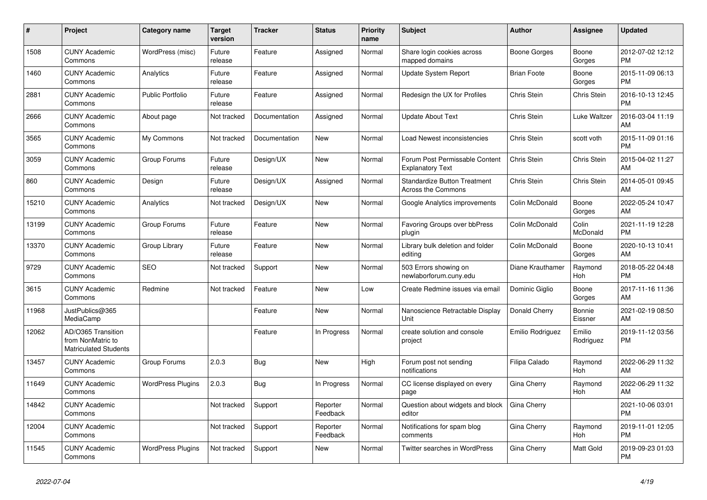| #     | <b>Project</b>                                                          | Category name            | <b>Target</b><br>version | <b>Tracker</b> | <b>Status</b>        | <b>Priority</b><br>name | <b>Subject</b>                                            | <b>Author</b>      | Assignee            | <b>Updated</b>                |
|-------|-------------------------------------------------------------------------|--------------------------|--------------------------|----------------|----------------------|-------------------------|-----------------------------------------------------------|--------------------|---------------------|-------------------------------|
| 1508  | <b>CUNY Academic</b><br>Commons                                         | WordPress (misc)         | Future<br>release        | Feature        | Assigned             | Normal                  | Share login cookies across<br>mapped domains              | Boone Gorges       | Boone<br>Gorges     | 2012-07-02 12:12<br><b>PM</b> |
| 1460  | <b>CUNY Academic</b><br>Commons                                         | Analytics                | Future<br>release        | Feature        | Assigned             | Normal                  | <b>Update System Report</b>                               | <b>Brian Foote</b> | Boone<br>Gorges     | 2015-11-09 06:13<br><b>PM</b> |
| 2881  | <b>CUNY Academic</b><br>Commons                                         | <b>Public Portfolio</b>  | Future<br>release        | Feature        | Assigned             | Normal                  | Redesign the UX for Profiles                              | Chris Stein        | Chris Stein         | 2016-10-13 12:45<br><b>PM</b> |
| 2666  | <b>CUNY Academic</b><br>Commons                                         | About page               | Not tracked              | Documentation  | Assigned             | Normal                  | <b>Update About Text</b>                                  | Chris Stein        | Luke Waltzer        | 2016-03-04 11:19<br>AM        |
| 3565  | <b>CUNY Academic</b><br>Commons                                         | My Commons               | Not tracked              | Documentation  | New                  | Normal                  | Load Newest inconsistencies                               | Chris Stein        | scott voth          | 2015-11-09 01:16<br><b>PM</b> |
| 3059  | <b>CUNY Academic</b><br>Commons                                         | Group Forums             | Future<br>release        | Design/UX      | New                  | Normal                  | Forum Post Permissable Content<br><b>Explanatory Text</b> | Chris Stein        | Chris Stein         | 2015-04-02 11:27<br><b>AM</b> |
| 860   | <b>CUNY Academic</b><br>Commons                                         | Design                   | Future<br>release        | Design/UX      | Assigned             | Normal                  | <b>Standardize Button Treatment</b><br>Across the Commons | Chris Stein        | Chris Stein         | 2014-05-01 09:45<br>AM        |
| 15210 | <b>CUNY Academic</b><br>Commons                                         | Analytics                | Not tracked              | Design/UX      | <b>New</b>           | Normal                  | Google Analytics improvements                             | Colin McDonald     | Boone<br>Gorges     | 2022-05-24 10:47<br>AM        |
| 13199 | <b>CUNY Academic</b><br>Commons                                         | Group Forums             | Future<br>release        | Feature        | New                  | Normal                  | Favoring Groups over bbPress<br>plugin                    | Colin McDonald     | Colin<br>McDonald   | 2021-11-19 12:28<br><b>PM</b> |
| 13370 | <b>CUNY Academic</b><br>Commons                                         | Group Library            | Future<br>release        | Feature        | New                  | Normal                  | Library bulk deletion and folder<br>editing               | Colin McDonald     | Boone<br>Gorges     | 2020-10-13 10:41<br>AM        |
| 9729  | <b>CUNY Academic</b><br>Commons                                         | <b>SEO</b>               | Not tracked              | Support        | <b>New</b>           | Normal                  | 503 Errors showing on<br>newlaborforum.cuny.edu           | Diane Krauthamer   | Raymond<br>Hoh      | 2018-05-22 04:48<br><b>PM</b> |
| 3615  | <b>CUNY Academic</b><br>Commons                                         | Redmine                  | Not tracked              | Feature        | New                  | Low                     | Create Redmine issues via email                           | Dominic Giglio     | Boone<br>Gorges     | 2017-11-16 11:36<br><b>AM</b> |
| 11968 | JustPublics@365<br>MediaCamp                                            |                          |                          | Feature        | New                  | Normal                  | Nanoscience Retractable Display<br>Unit                   | Donald Cherry      | Bonnie<br>Eissner   | 2021-02-19 08:50<br>AM        |
| 12062 | AD/O365 Transition<br>from NonMatric to<br><b>Matriculated Students</b> |                          |                          | Feature        | In Progress          | Normal                  | create solution and console<br>project                    | Emilio Rodriguez   | Emilio<br>Rodriguez | 2019-11-12 03:56<br>PM        |
| 13457 | <b>CUNY Academic</b><br>Commons                                         | Group Forums             | 2.0.3                    | Bug            | <b>New</b>           | High                    | Forum post not sending<br>notifications                   | Filipa Calado      | Raymond<br>Hoh      | 2022-06-29 11:32<br>AM        |
| 11649 | <b>CUNY Academic</b><br>Commons                                         | <b>WordPress Plugins</b> | 2.0.3                    | Bug            | In Progress          | Normal                  | CC license displayed on every<br>page                     | <b>Gina Cherry</b> | Raymond<br>Hoh      | 2022-06-29 11:32<br>AM        |
| 14842 | <b>CUNY Academic</b><br>Commons                                         |                          | Not tracked              | Support        | Reporter<br>Feedback | Normal                  | Question about widgets and block<br>editor                | Gina Cherry        |                     | 2021-10-06 03:01<br><b>PM</b> |
| 12004 | <b>CUNY Academic</b><br>Commons                                         |                          | Not tracked              | Support        | Reporter<br>Feedback | Normal                  | Notifications for spam blog<br>comments                   | Gina Cherry        | Raymond<br>Hoh      | 2019-11-01 12:05<br><b>PM</b> |
| 11545 | <b>CUNY Academic</b><br>Commons                                         | <b>WordPress Plugins</b> | Not tracked              | Support        | New                  | Normal                  | <b>Twitter searches in WordPress</b>                      | Gina Cherry        | Matt Gold           | 2019-09-23 01:03<br><b>PM</b> |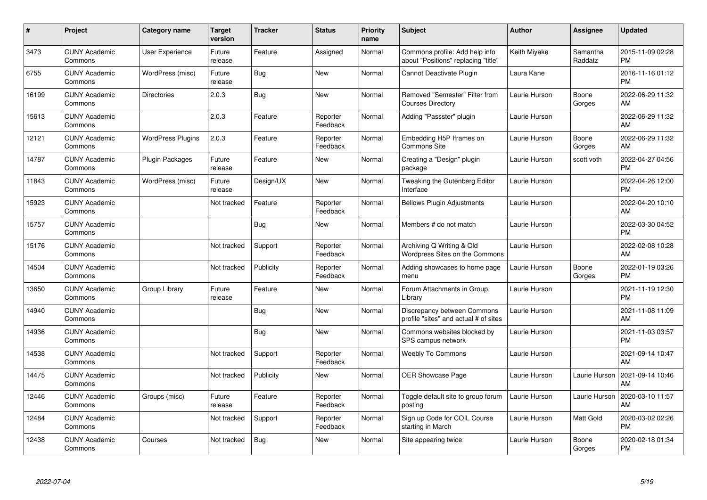| #     | <b>Project</b>                  | Category name            | <b>Target</b><br>version | <b>Tracker</b> | <b>Status</b>        | <b>Priority</b><br>name | <b>Subject</b>                                                        | Author        | <b>Assignee</b>     | <b>Updated</b>                |
|-------|---------------------------------|--------------------------|--------------------------|----------------|----------------------|-------------------------|-----------------------------------------------------------------------|---------------|---------------------|-------------------------------|
| 3473  | <b>CUNY Academic</b><br>Commons | User Experience          | Future<br>release        | Feature        | Assigned             | Normal                  | Commons profile: Add help info<br>about "Positions" replacing "title" | Keith Miyake  | Samantha<br>Raddatz | 2015-11-09 02:28<br><b>PM</b> |
| 6755  | <b>CUNY Academic</b><br>Commons | WordPress (misc)         | Future<br>release        | Bug            | <b>New</b>           | Normal                  | Cannot Deactivate Plugin                                              | Laura Kane    |                     | 2016-11-16 01:12<br><b>PM</b> |
| 16199 | <b>CUNY Academic</b><br>Commons | <b>Directories</b>       | 2.0.3                    | <b>Bug</b>     | New                  | Normal                  | Removed "Semester" Filter from<br><b>Courses Directory</b>            | Laurie Hurson | Boone<br>Gorges     | 2022-06-29 11:32<br>AM        |
| 15613 | <b>CUNY Academic</b><br>Commons |                          | 2.0.3                    | Feature        | Reporter<br>Feedback | Normal                  | Adding "Passster" plugin                                              | Laurie Hurson |                     | 2022-06-29 11:32<br>AM        |
| 12121 | <b>CUNY Academic</b><br>Commons | <b>WordPress Plugins</b> | 2.0.3                    | Feature        | Reporter<br>Feedback | Normal                  | Embedding H5P Iframes on<br><b>Commons Site</b>                       | Laurie Hurson | Boone<br>Gorges     | 2022-06-29 11:32<br>AM        |
| 14787 | <b>CUNY Academic</b><br>Commons | Plugin Packages          | Future<br>release        | Feature        | <b>New</b>           | Normal                  | Creating a "Design" plugin<br>package                                 | Laurie Hurson | scott voth          | 2022-04-27 04:56<br><b>PM</b> |
| 11843 | <b>CUNY Academic</b><br>Commons | WordPress (misc)         | Future<br>release        | Design/UX      | <b>New</b>           | Normal                  | Tweaking the Gutenberg Editor<br>Interface                            | Laurie Hurson |                     | 2022-04-26 12:00<br><b>PM</b> |
| 15923 | <b>CUNY Academic</b><br>Commons |                          | Not tracked              | Feature        | Reporter<br>Feedback | Normal                  | <b>Bellows Plugin Adjustments</b>                                     | Laurie Hurson |                     | 2022-04-20 10:10<br>AM        |
| 15757 | <b>CUNY Academic</b><br>Commons |                          |                          | Bug            | <b>New</b>           | Normal                  | Members # do not match                                                | Laurie Hurson |                     | 2022-03-30 04:52<br><b>PM</b> |
| 15176 | <b>CUNY Academic</b><br>Commons |                          | Not tracked              | Support        | Reporter<br>Feedback | Normal                  | Archiving Q Writing & Old<br>Wordpress Sites on the Commons           | Laurie Hurson |                     | 2022-02-08 10:28<br>AM        |
| 14504 | <b>CUNY Academic</b><br>Commons |                          | Not tracked              | Publicity      | Reporter<br>Feedback | Normal                  | Adding showcases to home page<br>menu                                 | Laurie Hurson | Boone<br>Gorges     | 2022-01-19 03:26<br><b>PM</b> |
| 13650 | <b>CUNY Academic</b><br>Commons | Group Library            | Future<br>release        | Feature        | <b>New</b>           | Normal                  | Forum Attachments in Group<br>Library                                 | Laurie Hurson |                     | 2021-11-19 12:30<br><b>PM</b> |
| 14940 | <b>CUNY Academic</b><br>Commons |                          |                          | Bug            | New                  | Normal                  | Discrepancy between Commons<br>profile "sites" and actual # of sites  | Laurie Hurson |                     | 2021-11-08 11:09<br>AM        |
| 14936 | <b>CUNY Academic</b><br>Commons |                          |                          | Bug            | <b>New</b>           | Normal                  | Commons websites blocked by<br>SPS campus network                     | Laurie Hurson |                     | 2021-11-03 03:57<br><b>PM</b> |
| 14538 | <b>CUNY Academic</b><br>Commons |                          | Not tracked              | Support        | Reporter<br>Feedback | Normal                  | <b>Weebly To Commons</b>                                              | Laurie Hurson |                     | 2021-09-14 10:47<br>AM        |
| 14475 | <b>CUNY Academic</b><br>Commons |                          | Not tracked              | Publicity      | <b>New</b>           | Normal                  | <b>OER Showcase Page</b>                                              | Laurie Hurson | Laurie Hurson       | 2021-09-14 10:46<br>AM        |
| 12446 | <b>CUNY Academic</b><br>Commons | Groups (misc)            | Future<br>release        | Feature        | Reporter<br>Feedback | Normal                  | Toggle default site to group forum<br>posting                         | Laurie Hurson | Laurie Hurson       | 2020-03-10 11:57<br>AM        |
| 12484 | <b>CUNY Academic</b><br>Commons |                          | Not tracked              | Support        | Reporter<br>Feedback | Normal                  | Sign up Code for COIL Course<br>starting in March                     | Laurie Hurson | Matt Gold           | 2020-03-02 02:26<br><b>PM</b> |
| 12438 | <b>CUNY Academic</b><br>Commons | Courses                  | Not tracked              | Bug            | <b>New</b>           | Normal                  | Site appearing twice                                                  | Laurie Hurson | Boone<br>Gorges     | 2020-02-18 01:34<br><b>PM</b> |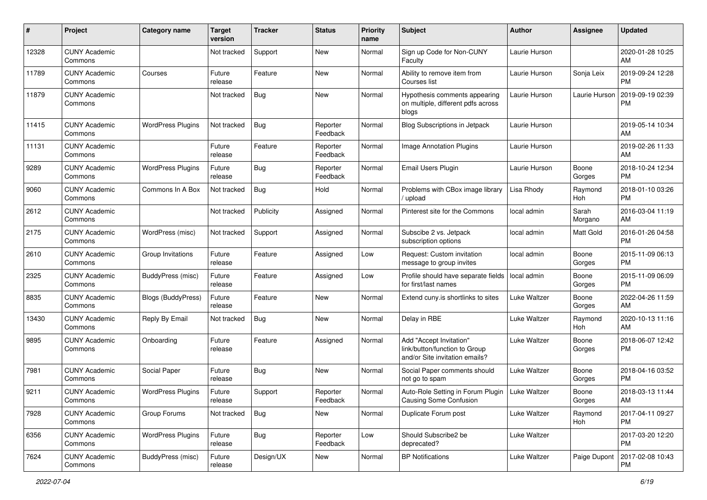| #     | Project                         | <b>Category name</b>     | Target<br>version | <b>Tracker</b> | <b>Status</b>        | <b>Priority</b><br>name | <b>Subject</b>                                                                             | <b>Author</b>       | Assignee         | <b>Updated</b>                |
|-------|---------------------------------|--------------------------|-------------------|----------------|----------------------|-------------------------|--------------------------------------------------------------------------------------------|---------------------|------------------|-------------------------------|
| 12328 | <b>CUNY Academic</b><br>Commons |                          | Not tracked       | Support        | New                  | Normal                  | Sign up Code for Non-CUNY<br>Faculty                                                       | Laurie Hurson       |                  | 2020-01-28 10:25<br>AM        |
| 11789 | <b>CUNY Academic</b><br>Commons | Courses                  | Future<br>release | Feature        | New                  | Normal                  | Ability to remove item from<br>Courses list                                                | Laurie Hurson       | Sonja Leix       | 2019-09-24 12:28<br><b>PM</b> |
| 11879 | <b>CUNY Academic</b><br>Commons |                          | Not tracked       | Bug            | New                  | Normal                  | Hypothesis comments appearing<br>on multiple, different pdfs across<br>blogs               | Laurie Hurson       | Laurie Hurson    | 2019-09-19 02:39<br><b>PM</b> |
| 11415 | <b>CUNY Academic</b><br>Commons | <b>WordPress Plugins</b> | Not tracked       | <b>Bug</b>     | Reporter<br>Feedback | Normal                  | Blog Subscriptions in Jetpack                                                              | Laurie Hurson       |                  | 2019-05-14 10:34<br>AM        |
| 11131 | <b>CUNY Academic</b><br>Commons |                          | Future<br>release | Feature        | Reporter<br>Feedback | Normal                  | Image Annotation Plugins                                                                   | Laurie Hurson       |                  | 2019-02-26 11:33<br>AM        |
| 9289  | <b>CUNY Academic</b><br>Commons | <b>WordPress Plugins</b> | Future<br>release | Bug            | Reporter<br>Feedback | Normal                  | <b>Email Users Plugin</b>                                                                  | Laurie Hurson       | Boone<br>Gorges  | 2018-10-24 12:34<br>PM.       |
| 9060  | <b>CUNY Academic</b><br>Commons | Commons In A Box         | Not tracked       | Bug            | Hold                 | Normal                  | Problems with CBox image library<br>upload                                                 | Lisa Rhody          | Raymond<br>Hoh   | 2018-01-10 03:26<br><b>PM</b> |
| 2612  | <b>CUNY Academic</b><br>Commons |                          | Not tracked       | Publicity      | Assigned             | Normal                  | Pinterest site for the Commons                                                             | local admin         | Sarah<br>Morgano | 2016-03-04 11:19<br>AM        |
| 2175  | <b>CUNY Academic</b><br>Commons | WordPress (misc)         | Not tracked       | Support        | Assigned             | Normal                  | Subscibe 2 vs. Jetpack<br>subscription options                                             | local admin         | Matt Gold        | 2016-01-26 04:58<br><b>PM</b> |
| 2610  | <b>CUNY Academic</b><br>Commons | Group Invitations        | Future<br>release | Feature        | Assigned             | Low                     | Request: Custom invitation<br>message to group invites                                     | local admin         | Boone<br>Gorges  | 2015-11-09 06:13<br><b>PM</b> |
| 2325  | <b>CUNY Academic</b><br>Commons | BuddyPress (misc)        | Future<br>release | Feature        | Assigned             | Low                     | Profile should have separate fields<br>for first/last names                                | local admin         | Boone<br>Gorges  | 2015-11-09 06:09<br><b>PM</b> |
| 8835  | <b>CUNY Academic</b><br>Commons | Blogs (BuddyPress)       | Future<br>release | Feature        | New                  | Normal                  | Extend cuny is shortlinks to sites                                                         | Luke Waltzer        | Boone<br>Gorges  | 2022-04-26 11:59<br>AM        |
| 13430 | <b>CUNY Academic</b><br>Commons | Reply By Email           | Not tracked       | Bug            | New                  | Normal                  | Delay in RBE                                                                               | Luke Waltzer        | Raymond<br>Hoh   | 2020-10-13 11:16<br>AM        |
| 9895  | <b>CUNY Academic</b><br>Commons | Onboarding               | Future<br>release | Feature        | Assigned             | Normal                  | Add "Accept Invitation"<br>link/button/function to Group<br>and/or Site invitation emails? | Luke Waltzer        | Boone<br>Gorges  | 2018-06-07 12:42<br><b>PM</b> |
| 7981  | <b>CUNY Academic</b><br>Commons | Social Paper             | Future<br>release | Bug            | New                  | Normal                  | Social Paper comments should<br>not go to spam                                             | Luke Waltzer        | Boone<br>Gorges  | 2018-04-16 03:52<br><b>PM</b> |
| 9211  | <b>CUNY Academic</b><br>Commons | <b>WordPress Plugins</b> | Future<br>release | Support        | Reporter<br>Feedback | Normal                  | Auto-Role Setting in Forum Plugin<br>Causing Some Confusion                                | <b>Luke Waltzer</b> | Boone<br>Gorges  | 2018-03-13 11:44<br>AM        |
| 7928  | <b>CUNY Academic</b><br>Commons | Group Forums             | Not tracked       | Bug            | New                  | Normal                  | Duplicate Forum post                                                                       | Luke Waltzer        | Raymond<br>Hoh   | 2017-04-11 09:27<br><b>PM</b> |
| 6356  | <b>CUNY Academic</b><br>Commons | <b>WordPress Plugins</b> | Future<br>release | <b>Bug</b>     | Reporter<br>Feedback | Low                     | Should Subscribe2 be<br>deprecated?                                                        | Luke Waltzer        |                  | 2017-03-20 12:20<br><b>PM</b> |
| 7624  | <b>CUNY Academic</b><br>Commons | BuddyPress (misc)        | Future<br>release | Design/UX      | New                  | Normal                  | <b>BP Notifications</b>                                                                    | Luke Waltzer        | Paige Dupont     | 2017-02-08 10:43<br>PM        |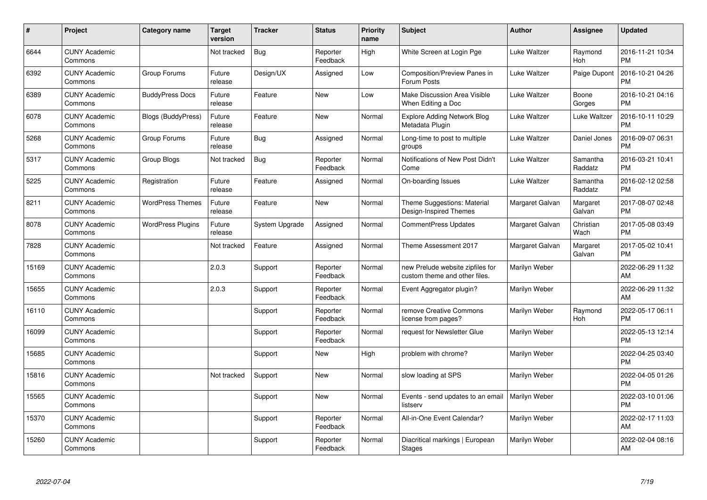| #     | Project                         | <b>Category name</b>      | Target<br>version | <b>Tracker</b> | <b>Status</b>        | <b>Priority</b><br>name | <b>Subject</b>                                                    | <b>Author</b>   | <b>Assignee</b>     | <b>Updated</b>                |
|-------|---------------------------------|---------------------------|-------------------|----------------|----------------------|-------------------------|-------------------------------------------------------------------|-----------------|---------------------|-------------------------------|
| 6644  | <b>CUNY Academic</b><br>Commons |                           | Not tracked       | Bug            | Reporter<br>Feedback | High                    | White Screen at Login Pge                                         | Luke Waltzer    | Raymond<br>Hoh      | 2016-11-21 10:34<br><b>PM</b> |
| 6392  | <b>CUNY Academic</b><br>Commons | Group Forums              | Future<br>release | Design/UX      | Assigned             | Low                     | Composition/Preview Panes in<br>Forum Posts                       | Luke Waltzer    | Paige Dupont        | 2016-10-21 04:26<br><b>PM</b> |
| 6389  | <b>CUNY Academic</b><br>Commons | <b>BuddyPress Docs</b>    | Future<br>release | Feature        | <b>New</b>           | Low                     | Make Discussion Area Visible<br>When Editing a Doc                | Luke Waltzer    | Boone<br>Gorges     | 2016-10-21 04:16<br><b>PM</b> |
| 6078  | <b>CUNY Academic</b><br>Commons | <b>Blogs (BuddyPress)</b> | Future<br>release | Feature        | <b>New</b>           | Normal                  | <b>Explore Adding Network Blog</b><br>Metadata Plugin             | Luke Waltzer    | Luke Waltzer        | 2016-10-11 10:29<br><b>PM</b> |
| 5268  | <b>CUNY Academic</b><br>Commons | Group Forums              | Future<br>release | <b>Bug</b>     | Assigned             | Normal                  | Long-time to post to multiple<br>groups                           | Luke Waltzer    | Daniel Jones        | 2016-09-07 06:31<br><b>PM</b> |
| 5317  | <b>CUNY Academic</b><br>Commons | Group Blogs               | Not tracked       | <b>Bug</b>     | Reporter<br>Feedback | Normal                  | Notifications of New Post Didn't<br>Come                          | Luke Waltzer    | Samantha<br>Raddatz | 2016-03-21 10:41<br><b>PM</b> |
| 5225  | <b>CUNY Academic</b><br>Commons | Registration              | Future<br>release | Feature        | Assigned             | Normal                  | On-boarding Issues                                                | Luke Waltzer    | Samantha<br>Raddatz | 2016-02-12 02:58<br><b>PM</b> |
| 8211  | <b>CUNY Academic</b><br>Commons | <b>WordPress Themes</b>   | Future<br>release | Feature        | <b>New</b>           | Normal                  | Theme Suggestions: Material<br>Design-Inspired Themes             | Margaret Galvan | Margaret<br>Galvan  | 2017-08-07 02:48<br><b>PM</b> |
| 8078  | <b>CUNY Academic</b><br>Commons | <b>WordPress Plugins</b>  | Future<br>release | System Upgrade | Assigned             | Normal                  | <b>CommentPress Updates</b>                                       | Margaret Galvan | Christian<br>Wach   | 2017-05-08 03:49<br><b>PM</b> |
| 7828  | <b>CUNY Academic</b><br>Commons |                           | Not tracked       | Feature        | Assigned             | Normal                  | Theme Assessment 2017                                             | Margaret Galvan | Margaret<br>Galvan  | 2017-05-02 10:41<br>PM        |
| 15169 | <b>CUNY Academic</b><br>Commons |                           | 2.0.3             | Support        | Reporter<br>Feedback | Normal                  | new Prelude website zipfiles for<br>custom theme and other files. | Marilyn Weber   |                     | 2022-06-29 11:32<br>AM        |
| 15655 | <b>CUNY Academic</b><br>Commons |                           | 2.0.3             | Support        | Reporter<br>Feedback | Normal                  | Event Aggregator plugin?                                          | Marilyn Weber   |                     | 2022-06-29 11:32<br>AM        |
| 16110 | <b>CUNY Academic</b><br>Commons |                           |                   | Support        | Reporter<br>Feedback | Normal                  | remove Creative Commons<br>license from pages?                    | Marilyn Weber   | Raymond<br>Hoh      | 2022-05-17 06:11<br><b>PM</b> |
| 16099 | <b>CUNY Academic</b><br>Commons |                           |                   | Support        | Reporter<br>Feedback | Normal                  | request for Newsletter Glue                                       | Marilyn Weber   |                     | 2022-05-13 12:14<br><b>PM</b> |
| 15685 | <b>CUNY Academic</b><br>Commons |                           |                   | Support        | New                  | High                    | problem with chrome?                                              | Marilyn Weber   |                     | 2022-04-25 03:40<br><b>PM</b> |
| 15816 | <b>CUNY Academic</b><br>Commons |                           | Not tracked       | Support        | New                  | Normal                  | slow loading at SPS                                               | Marilyn Weber   |                     | 2022-04-05 01:26<br><b>PM</b> |
| 15565 | <b>CUNY Academic</b><br>Commons |                           |                   | Support        | New                  | Normal                  | Events - send updates to an email<br>listserv                     | Marilyn Weber   |                     | 2022-03-10 01:06<br><b>PM</b> |
| 15370 | <b>CUNY Academic</b><br>Commons |                           |                   | Support        | Reporter<br>Feedback | Normal                  | All-in-One Event Calendar?                                        | Marilyn Weber   |                     | 2022-02-17 11:03<br>AM        |
| 15260 | <b>CUNY Academic</b><br>Commons |                           |                   | Support        | Reporter<br>Feedback | Normal                  | Diacritical markings   European<br><b>Stages</b>                  | Marilyn Weber   |                     | 2022-02-04 08:16<br>AM        |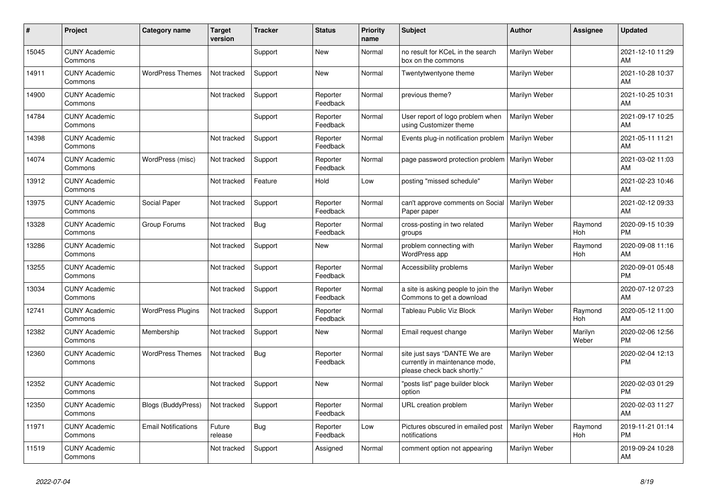| #     | Project                         | <b>Category name</b>       | <b>Target</b><br>version | <b>Tracker</b> | <b>Status</b>        | <b>Priority</b><br>name | <b>Subject</b>                                                                                | <b>Author</b>        | <b>Assignee</b>  | <b>Updated</b>                |
|-------|---------------------------------|----------------------------|--------------------------|----------------|----------------------|-------------------------|-----------------------------------------------------------------------------------------------|----------------------|------------------|-------------------------------|
| 15045 | <b>CUNY Academic</b><br>Commons |                            |                          | Support        | New                  | Normal                  | no result for KCeL in the search<br>box on the commons                                        | Marilyn Weber        |                  | 2021-12-10 11:29<br>AM        |
| 14911 | <b>CUNY Academic</b><br>Commons | <b>WordPress Themes</b>    | Not tracked              | Support        | New                  | Normal                  | Twentytwentyone theme                                                                         | Marilyn Weber        |                  | 2021-10-28 10:37<br>AM        |
| 14900 | <b>CUNY Academic</b><br>Commons |                            | Not tracked              | Support        | Reporter<br>Feedback | Normal                  | previous theme?                                                                               | Marilyn Weber        |                  | 2021-10-25 10:31<br>AM        |
| 14784 | <b>CUNY Academic</b><br>Commons |                            |                          | Support        | Reporter<br>Feedback | Normal                  | User report of logo problem when<br>using Customizer theme                                    | <b>Marilyn Weber</b> |                  | 2021-09-17 10:25<br>AM        |
| 14398 | <b>CUNY Academic</b><br>Commons |                            | Not tracked              | Support        | Reporter<br>Feedback | Normal                  | Events plug-in notification problem                                                           | Marilyn Weber        |                  | 2021-05-11 11:21<br>AM        |
| 14074 | <b>CUNY Academic</b><br>Commons | WordPress (misc)           | Not tracked              | Support        | Reporter<br>Feedback | Normal                  | page password protection problem                                                              | Marilyn Weber        |                  | 2021-03-02 11:03<br>AM        |
| 13912 | <b>CUNY Academic</b><br>Commons |                            | Not tracked              | Feature        | Hold                 | Low                     | posting "missed schedule"                                                                     | Marilyn Weber        |                  | 2021-02-23 10:46<br>AM        |
| 13975 | <b>CUNY Academic</b><br>Commons | Social Paper               | Not tracked              | Support        | Reporter<br>Feedback | Normal                  | can't approve comments on Social<br>Paper paper                                               | Marilyn Weber        |                  | 2021-02-12 09:33<br>AM        |
| 13328 | <b>CUNY Academic</b><br>Commons | Group Forums               | Not tracked              | Bug            | Reporter<br>Feedback | Normal                  | cross-posting in two related<br>groups                                                        | Marilyn Weber        | Raymond<br>Hoh   | 2020-09-15 10:39<br><b>PM</b> |
| 13286 | <b>CUNY Academic</b><br>Commons |                            | Not tracked              | Support        | <b>New</b>           | Normal                  | problem connecting with<br>WordPress app                                                      | Marilyn Weber        | Raymond<br>Hoh   | 2020-09-08 11:16<br>AM        |
| 13255 | <b>CUNY Academic</b><br>Commons |                            | Not tracked              | Support        | Reporter<br>Feedback | Normal                  | Accessibility problems                                                                        | Marilyn Weber        |                  | 2020-09-01 05:48<br><b>PM</b> |
| 13034 | <b>CUNY Academic</b><br>Commons |                            | Not tracked              | Support        | Reporter<br>Feedback | Normal                  | a site is asking people to join the<br>Commons to get a download                              | Marilyn Weber        |                  | 2020-07-12 07:23<br>AM        |
| 12741 | <b>CUNY Academic</b><br>Commons | <b>WordPress Plugins</b>   | Not tracked              | Support        | Reporter<br>Feedback | Normal                  | <b>Tableau Public Viz Block</b>                                                               | Marilyn Weber        | Raymond<br>Hoh   | 2020-05-12 11:00<br>AM        |
| 12382 | <b>CUNY Academic</b><br>Commons | Membership                 | Not tracked              | Support        | New                  | Normal                  | Email request change                                                                          | Marilyn Weber        | Marilyn<br>Weber | 2020-02-06 12:56<br><b>PM</b> |
| 12360 | <b>CUNY Academic</b><br>Commons | <b>WordPress Themes</b>    | Not tracked              | <b>Bug</b>     | Reporter<br>Feedback | Normal                  | site just says "DANTE We are<br>currently in maintenance mode,<br>please check back shortly." | Marilyn Weber        |                  | 2020-02-04 12:13<br><b>PM</b> |
| 12352 | <b>CUNY Academic</b><br>Commons |                            | Not tracked              | Support        | New                  | Normal                  | "posts list" page builder block<br>option                                                     | Marilyn Weber        |                  | 2020-02-03 01:29<br><b>PM</b> |
| 12350 | <b>CUNY Academic</b><br>Commons | <b>Blogs (BuddyPress)</b>  | Not tracked              | Support        | Reporter<br>Feedback | Normal                  | URL creation problem                                                                          | Marilyn Weber        |                  | 2020-02-03 11:27<br>AM        |
| 11971 | <b>CUNY Academic</b><br>Commons | <b>Email Notifications</b> | Future<br>release        | Bug            | Reporter<br>Feedback | Low                     | Pictures obscured in emailed post<br>notifications                                            | Marilyn Weber        | Raymond<br>Hoh   | 2019-11-21 01:14<br><b>PM</b> |
| 11519 | <b>CUNY Academic</b><br>Commons |                            | Not tracked              | Support        | Assigned             | Normal                  | comment option not appearing                                                                  | Marilyn Weber        |                  | 2019-09-24 10:28<br>AM        |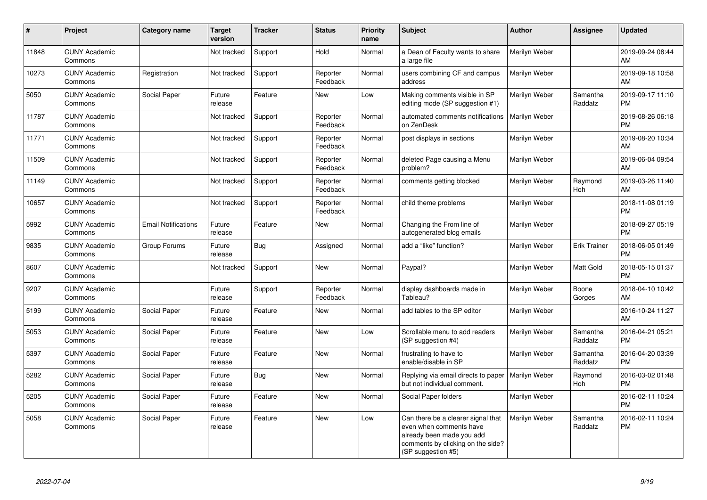| #     | Project                         | <b>Category name</b>       | <b>Target</b><br>version | <b>Tracker</b> | <b>Status</b>        | <b>Priority</b><br>name | <b>Subject</b>                                                                                                                                        | <b>Author</b> | <b>Assignee</b>     | <b>Updated</b>                |
|-------|---------------------------------|----------------------------|--------------------------|----------------|----------------------|-------------------------|-------------------------------------------------------------------------------------------------------------------------------------------------------|---------------|---------------------|-------------------------------|
| 11848 | <b>CUNY Academic</b><br>Commons |                            | Not tracked              | Support        | Hold                 | Normal                  | a Dean of Faculty wants to share<br>a large file                                                                                                      | Marilyn Weber |                     | 2019-09-24 08:44<br>AM        |
| 10273 | <b>CUNY Academic</b><br>Commons | Registration               | Not tracked              | Support        | Reporter<br>Feedback | Normal                  | users combining CF and campus<br>address                                                                                                              | Marilyn Weber |                     | 2019-09-18 10:58<br>AM        |
| 5050  | <b>CUNY Academic</b><br>Commons | Social Paper               | Future<br>release        | Feature        | New                  | Low                     | Making comments visible in SP<br>editing mode (SP suggestion #1)                                                                                      | Marilyn Weber | Samantha<br>Raddatz | 2019-09-17 11:10<br><b>PM</b> |
| 11787 | <b>CUNY Academic</b><br>Commons |                            | Not tracked              | Support        | Reporter<br>Feedback | Normal                  | automated comments notifications<br>on ZenDesk                                                                                                        | Marilyn Weber |                     | 2019-08-26 06:18<br><b>PM</b> |
| 11771 | <b>CUNY Academic</b><br>Commons |                            | Not tracked              | Support        | Reporter<br>Feedback | Normal                  | post displays in sections                                                                                                                             | Marilyn Weber |                     | 2019-08-20 10:34<br>AM        |
| 11509 | <b>CUNY Academic</b><br>Commons |                            | Not tracked              | Support        | Reporter<br>Feedback | Normal                  | deleted Page causing a Menu<br>problem?                                                                                                               | Marilyn Weber |                     | 2019-06-04 09:54<br>AM        |
| 11149 | <b>CUNY Academic</b><br>Commons |                            | Not tracked              | Support        | Reporter<br>Feedback | Normal                  | comments getting blocked                                                                                                                              | Marilyn Weber | Raymond<br>Hoh      | 2019-03-26 11:40<br>AM        |
| 10657 | <b>CUNY Academic</b><br>Commons |                            | Not tracked              | Support        | Reporter<br>Feedback | Normal                  | child theme problems                                                                                                                                  | Marilyn Weber |                     | 2018-11-08 01:19<br><b>PM</b> |
| 5992  | <b>CUNY Academic</b><br>Commons | <b>Email Notifications</b> | Future<br>release        | Feature        | New                  | Normal                  | Changing the From line of<br>autogenerated blog emails                                                                                                | Marilyn Weber |                     | 2018-09-27 05:19<br><b>PM</b> |
| 9835  | <b>CUNY Academic</b><br>Commons | Group Forums               | Future<br>release        | Bug            | Assigned             | Normal                  | add a "like" function?                                                                                                                                | Marilyn Weber | <b>Erik Trainer</b> | 2018-06-05 01:49<br><b>PM</b> |
| 8607  | <b>CUNY Academic</b><br>Commons |                            | Not tracked              | Support        | New                  | Normal                  | Paypal?                                                                                                                                               | Marilyn Weber | Matt Gold           | 2018-05-15 01:37<br><b>PM</b> |
| 9207  | <b>CUNY Academic</b><br>Commons |                            | Future<br>release        | Support        | Reporter<br>Feedback | Normal                  | display dashboards made in<br>Tableau?                                                                                                                | Marilyn Weber | Boone<br>Gorges     | 2018-04-10 10:42<br>AM        |
| 5199  | <b>CUNY Academic</b><br>Commons | Social Paper               | Future<br>release        | Feature        | <b>New</b>           | Normal                  | add tables to the SP editor                                                                                                                           | Marilyn Weber |                     | 2016-10-24 11:27<br>AM        |
| 5053  | <b>CUNY Academic</b><br>Commons | Social Paper               | Future<br>release        | Feature        | <b>New</b>           | Low                     | Scrollable menu to add readers<br>(SP suggestion #4)                                                                                                  | Marilyn Weber | Samantha<br>Raddatz | 2016-04-21 05:21<br><b>PM</b> |
| 5397  | <b>CUNY Academic</b><br>Commons | Social Paper               | Future<br>release        | Feature        | <b>New</b>           | Normal                  | frustrating to have to<br>enable/disable in SP                                                                                                        | Marilyn Weber | Samantha<br>Raddatz | 2016-04-20 03:39<br><b>PM</b> |
| 5282  | <b>CUNY Academic</b><br>Commons | Social Paper               | Future<br>release        | Bug            | <b>New</b>           | Normal                  | Replying via email directs to paper<br>but not individual comment.                                                                                    | Marilyn Weber | Raymond<br>Hoh      | 2016-03-02 01:48<br><b>PM</b> |
| 5205  | <b>CUNY Academic</b><br>Commons | Social Paper               | Future<br>release        | Feature        | New                  | Normal                  | Social Paper folders                                                                                                                                  | Marilyn Weber |                     | 2016-02-11 10:24<br><b>PM</b> |
| 5058  | <b>CUNY Academic</b><br>Commons | Social Paper               | Future<br>release        | Feature        | New                  | Low                     | Can there be a clearer signal that<br>even when comments have<br>already been made you add<br>comments by clicking on the side?<br>(SP suggestion #5) | Marilyn Weber | Samantha<br>Raddatz | 2016-02-11 10:24<br><b>PM</b> |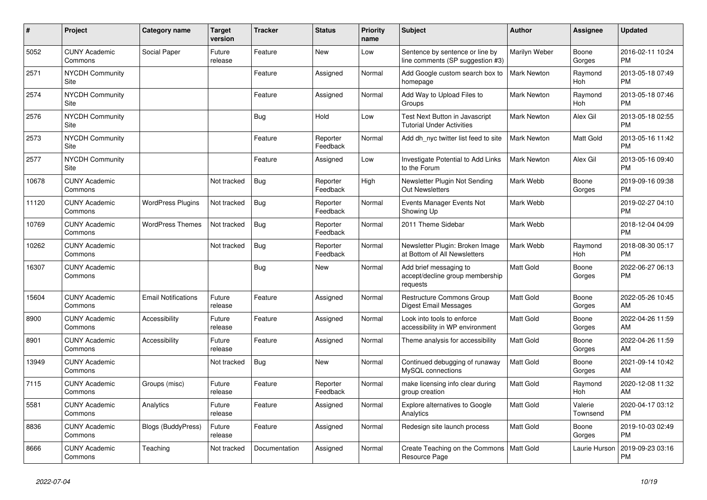| #     | Project                               | Category name              | <b>Target</b><br>version | <b>Tracker</b> | <b>Status</b>        | <b>Priority</b><br>name | <b>Subject</b>                                                        | <b>Author</b>      | Assignee              | <b>Updated</b>                |
|-------|---------------------------------------|----------------------------|--------------------------|----------------|----------------------|-------------------------|-----------------------------------------------------------------------|--------------------|-----------------------|-------------------------------|
| 5052  | <b>CUNY Academic</b><br>Commons       | Social Paper               | Future<br>release        | Feature        | <b>New</b>           | Low                     | Sentence by sentence or line by<br>line comments (SP suggestion #3)   | Marilyn Weber      | Boone<br>Gorges       | 2016-02-11 10:24<br><b>PM</b> |
| 2571  | <b>NYCDH Community</b><br>Site        |                            |                          | Feature        | Assigned             | Normal                  | Add Google custom search box to<br>homepage                           | <b>Mark Newton</b> | Raymond<br><b>Hoh</b> | 2013-05-18 07:49<br><b>PM</b> |
| 2574  | <b>NYCDH Community</b><br>Site        |                            |                          | Feature        | Assigned             | Normal                  | Add Way to Upload Files to<br>Groups                                  | <b>Mark Newton</b> | Raymond<br>Hoh        | 2013-05-18 07:46<br><b>PM</b> |
| 2576  | <b>NYCDH Community</b><br>Site        |                            |                          | <b>Bug</b>     | Hold                 | Low                     | Test Next Button in Javascript<br><b>Tutorial Under Activities</b>    | Mark Newton        | Alex Gil              | 2013-05-18 02:55<br><b>PM</b> |
| 2573  | <b>NYCDH Community</b><br>Site        |                            |                          | Feature        | Reporter<br>Feedback | Normal                  | Add dh nyc twitter list feed to site                                  | <b>Mark Newton</b> | Matt Gold             | 2013-05-16 11:42<br><b>PM</b> |
| 2577  | <b>NYCDH Community</b><br><b>Site</b> |                            |                          | Feature        | Assigned             | Low                     | Investigate Potential to Add Links<br>to the Forum                    | <b>Mark Newton</b> | Alex Gil              | 2013-05-16 09:40<br><b>PM</b> |
| 10678 | <b>CUNY Academic</b><br>Commons       |                            | Not tracked              | Bug            | Reporter<br>Feedback | High                    | Newsletter Plugin Not Sending<br><b>Out Newsletters</b>               | Mark Webb          | Boone<br>Gorges       | 2019-09-16 09:38<br><b>PM</b> |
| 11120 | <b>CUNY Academic</b><br>Commons       | <b>WordPress Plugins</b>   | Not tracked              | Bug            | Reporter<br>Feedback | Normal                  | Events Manager Events Not<br>Showing Up                               | Mark Webb          |                       | 2019-02-27 04:10<br><b>PM</b> |
| 10769 | <b>CUNY Academic</b><br>Commons       | <b>WordPress Themes</b>    | Not tracked              | Bug            | Reporter<br>Feedback | Normal                  | 2011 Theme Sidebar                                                    | Mark Webb          |                       | 2018-12-04 04:09<br><b>PM</b> |
| 10262 | <b>CUNY Academic</b><br>Commons       |                            | Not tracked              | Bug            | Reporter<br>Feedback | Normal                  | Newsletter Plugin: Broken Image<br>at Bottom of All Newsletters       | Mark Webb          | Raymond<br>Hoh        | 2018-08-30 05:17<br><b>PM</b> |
| 16307 | <b>CUNY Academic</b><br>Commons       |                            |                          | Bug            | <b>New</b>           | Normal                  | Add brief messaging to<br>accept/decline group membership<br>requests | <b>Matt Gold</b>   | Boone<br>Gorges       | 2022-06-27 06:13<br><b>PM</b> |
| 15604 | <b>CUNY Academic</b><br>Commons       | <b>Email Notifications</b> | Future<br>release        | Feature        | Assigned             | Normal                  | <b>Restructure Commons Group</b><br>Digest Email Messages             | <b>Matt Gold</b>   | Boone<br>Gorges       | 2022-05-26 10:45<br>AM        |
| 8900  | <b>CUNY Academic</b><br>Commons       | Accessibility              | Future<br>release        | Feature        | Assigned             | Normal                  | Look into tools to enforce<br>accessibility in WP environment         | <b>Matt Gold</b>   | Boone<br>Gorges       | 2022-04-26 11:59<br>AM        |
| 8901  | <b>CUNY Academic</b><br>Commons       | <b>Accessibility</b>       | Future<br>release        | Feature        | Assigned             | Normal                  | Theme analysis for accessibility                                      | <b>Matt Gold</b>   | Boone<br>Gorges       | 2022-04-26 11:59<br>AM        |
| 13949 | <b>CUNY Academic</b><br>Commons       |                            | Not tracked              | Bug            | <b>New</b>           | Normal                  | Continued debugging of runaway<br>MySQL connections                   | <b>Matt Gold</b>   | Boone<br>Gorges       | 2021-09-14 10:42<br>AM        |
| 7115  | <b>CUNY Academic</b><br>Commons       | Groups (misc)              | Future<br>release        | Feature        | Reporter<br>Feedback | Normal                  | make licensing info clear during<br>group creation                    | Matt Gold          | Raymond<br>Hoh        | 2020-12-08 11:32<br>AM        |
| 5581  | <b>CUNY Academic</b><br>Commons       | Analytics                  | Future<br>release        | Feature        | Assigned             | Normal                  | <b>Explore alternatives to Google</b><br>Analytics                    | <b>Matt Gold</b>   | Valerie<br>Townsend   | 2020-04-17 03:12<br><b>PM</b> |
| 8836  | <b>CUNY Academic</b><br>Commons       | <b>Blogs (BuddyPress)</b>  | Future<br>release        | Feature        | Assigned             | Normal                  | Redesign site launch process                                          | <b>Matt Gold</b>   | Boone<br>Gorges       | 2019-10-03 02:49<br><b>PM</b> |
| 8666  | <b>CUNY Academic</b><br>Commons       | Teaching                   | Not tracked              | Documentation  | Assigned             | Normal                  | Create Teaching on the Commons   Matt Gold<br>Resource Page           |                    | Laurie Hurson         | 2019-09-23 03:16<br><b>PM</b> |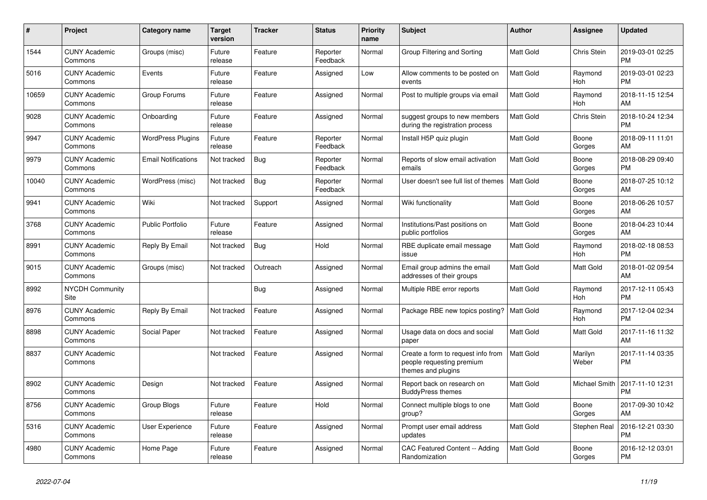| #     | Project                         | Category name              | <b>Target</b><br>version | <b>Tracker</b> | <b>Status</b>        | Priority<br>name | <b>Subject</b>                                                                        | <b>Author</b>    | Assignee         | <b>Updated</b>                |
|-------|---------------------------------|----------------------------|--------------------------|----------------|----------------------|------------------|---------------------------------------------------------------------------------------|------------------|------------------|-------------------------------|
| 1544  | <b>CUNY Academic</b><br>Commons | Groups (misc)              | Future<br>release        | Feature        | Reporter<br>Feedback | Normal           | Group Filtering and Sorting                                                           | <b>Matt Gold</b> | Chris Stein      | 2019-03-01 02:25<br><b>PM</b> |
| 5016  | <b>CUNY Academic</b><br>Commons | Events                     | Future<br>release        | Feature        | Assigned             | Low              | Allow comments to be posted on<br>events                                              | <b>Matt Gold</b> | Raymond<br>Hoh   | 2019-03-01 02:23<br><b>PM</b> |
| 10659 | <b>CUNY Academic</b><br>Commons | Group Forums               | Future<br>release        | Feature        | Assigned             | Normal           | Post to multiple groups via email                                                     | <b>Matt Gold</b> | Raymond<br>Hoh   | 2018-11-15 12:54<br>AM        |
| 9028  | <b>CUNY Academic</b><br>Commons | Onboarding                 | Future<br>release        | Feature        | Assigned             | Normal           | suggest groups to new members<br>during the registration process                      | <b>Matt Gold</b> | Chris Stein      | 2018-10-24 12:34<br><b>PM</b> |
| 9947  | <b>CUNY Academic</b><br>Commons | <b>WordPress Plugins</b>   | Future<br>release        | Feature        | Reporter<br>Feedback | Normal           | Install H5P quiz plugin                                                               | Matt Gold        | Boone<br>Gorges  | 2018-09-11 11:01<br>AM        |
| 9979  | <b>CUNY Academic</b><br>Commons | <b>Email Notifications</b> | Not tracked              | Bug            | Reporter<br>Feedback | Normal           | Reports of slow email activation<br>emails                                            | Matt Gold        | Boone<br>Gorges  | 2018-08-29 09:40<br><b>PM</b> |
| 10040 | <b>CUNY Academic</b><br>Commons | WordPress (misc)           | Not tracked              | <b>Bug</b>     | Reporter<br>Feedback | Normal           | User doesn't see full list of themes                                                  | <b>Matt Gold</b> | Boone<br>Gorges  | 2018-07-25 10:12<br>AM        |
| 9941  | <b>CUNY Academic</b><br>Commons | Wiki                       | Not tracked              | Support        | Assigned             | Normal           | Wiki functionality                                                                    | <b>Matt Gold</b> | Boone<br>Gorges  | 2018-06-26 10:57<br>AM        |
| 3768  | <b>CUNY Academic</b><br>Commons | Public Portfolio           | Future<br>release        | Feature        | Assigned             | Normal           | Institutions/Past positions on<br>public portfolios                                   | Matt Gold        | Boone<br>Gorges  | 2018-04-23 10:44<br>AM        |
| 8991  | <b>CUNY Academic</b><br>Commons | Reply By Email             | Not tracked              | Bug            | Hold                 | Normal           | RBE duplicate email message<br>issue                                                  | <b>Matt Gold</b> | Raymond<br>Hoh   | 2018-02-18 08:53<br><b>PM</b> |
| 9015  | <b>CUNY Academic</b><br>Commons | Groups (misc)              | Not tracked              | Outreach       | Assigned             | Normal           | Email group admins the email<br>addresses of their groups                             | <b>Matt Gold</b> | Matt Gold        | 2018-01-02 09:54<br>AM        |
| 8992  | <b>NYCDH Community</b><br>Site  |                            |                          | <b>Bug</b>     | Assigned             | Normal           | Multiple RBE error reports                                                            | Matt Gold        | Raymond<br>Hoh   | 2017-12-11 05:43<br><b>PM</b> |
| 8976  | <b>CUNY Academic</b><br>Commons | Reply By Email             | Not tracked              | Feature        | Assigned             | Normal           | Package RBE new topics posting?                                                       | <b>Matt Gold</b> | Raymond<br>Hoh   | 2017-12-04 02:34<br><b>PM</b> |
| 8898  | <b>CUNY Academic</b><br>Commons | Social Paper               | Not tracked              | Feature        | Assigned             | Normal           | Usage data on docs and social<br>paper                                                | <b>Matt Gold</b> | Matt Gold        | 2017-11-16 11:32<br>AM        |
| 8837  | <b>CUNY Academic</b><br>Commons |                            | Not tracked              | Feature        | Assigned             | Normal           | Create a form to request info from<br>people requesting premium<br>themes and plugins | <b>Matt Gold</b> | Marilyn<br>Weber | 2017-11-14 03:35<br><b>PM</b> |
| 8902  | <b>CUNY Academic</b><br>Commons | Design                     | Not tracked              | Feature        | Assigned             | Normal           | Report back on research on<br><b>BuddyPress themes</b>                                | <b>Matt Gold</b> | Michael Smith    | 2017-11-10 12:31<br><b>PM</b> |
| 8756  | <b>CUNY Academic</b><br>Commons | <b>Group Blogs</b>         | Future<br>release        | Feature        | Hold                 | Normal           | Connect multiple blogs to one<br>group?                                               | <b>Matt Gold</b> | Boone<br>Gorges  | 2017-09-30 10:42<br>AM        |
| 5316  | <b>CUNY Academic</b><br>Commons | <b>User Experience</b>     | Future<br>release        | Feature        | Assigned             | Normal           | Prompt user email address<br>updates                                                  | <b>Matt Gold</b> | Stephen Real     | 2016-12-21 03:30<br><b>PM</b> |
| 4980  | <b>CUNY Academic</b><br>Commons | Home Page                  | Future<br>release        | Feature        | Assigned             | Normal           | CAC Featured Content -- Adding<br>Randomization                                       | <b>Matt Gold</b> | Boone<br>Gorges  | 2016-12-12 03:01<br><b>PM</b> |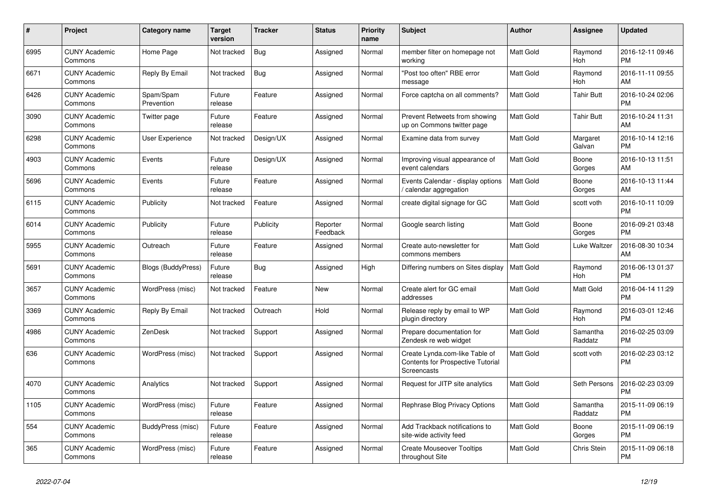| $\pmb{\#}$ | <b>Project</b>                  | <b>Category name</b>      | Target<br>version | <b>Tracker</b> | <b>Status</b>        | <b>Priority</b><br>name | <b>Subject</b>                                                                     | <b>Author</b>    | Assignee            | <b>Updated</b>                |
|------------|---------------------------------|---------------------------|-------------------|----------------|----------------------|-------------------------|------------------------------------------------------------------------------------|------------------|---------------------|-------------------------------|
| 6995       | <b>CUNY Academic</b><br>Commons | Home Page                 | Not tracked       | <b>Bug</b>     | Assigned             | Normal                  | member filter on homepage not<br>working                                           | <b>Matt Gold</b> | Raymond<br>Hoh      | 2016-12-11 09:46<br><b>PM</b> |
| 6671       | <b>CUNY Academic</b><br>Commons | Reply By Email            | Not tracked       | <b>Bug</b>     | Assigned             | Normal                  | "Post too often" RBE error<br>message                                              | <b>Matt Gold</b> | Raymond<br>Hoh      | 2016-11-11 09:55<br>AM        |
| 6426       | <b>CUNY Academic</b><br>Commons | Spam/Spam<br>Prevention   | Future<br>release | Feature        | Assigned             | Normal                  | Force captcha on all comments?                                                     | <b>Matt Gold</b> | Tahir Butt          | 2016-10-24 02:06<br><b>PM</b> |
| 3090       | <b>CUNY Academic</b><br>Commons | Twitter page              | Future<br>release | Feature        | Assigned             | Normal                  | Prevent Retweets from showing<br>up on Commons twitter page                        | <b>Matt Gold</b> | <b>Tahir Butt</b>   | 2016-10-24 11:31<br>AM        |
| 6298       | <b>CUNY Academic</b><br>Commons | <b>User Experience</b>    | Not tracked       | Design/UX      | Assigned             | Normal                  | Examine data from survey                                                           | <b>Matt Gold</b> | Margaret<br>Galvan  | 2016-10-14 12:16<br><b>PM</b> |
| 4903       | <b>CUNY Academic</b><br>Commons | Events                    | Future<br>release | Design/UX      | Assigned             | Normal                  | Improving visual appearance of<br>event calendars                                  | <b>Matt Gold</b> | Boone<br>Gorges     | 2016-10-13 11:51<br>AM        |
| 5696       | <b>CUNY Academic</b><br>Commons | Events                    | Future<br>release | Feature        | Assigned             | Normal                  | Events Calendar - display options<br>/ calendar aggregation                        | Matt Gold        | Boone<br>Gorges     | 2016-10-13 11:44<br>AM        |
| 6115       | <b>CUNY Academic</b><br>Commons | Publicity                 | Not tracked       | Feature        | Assigned             | Normal                  | create digital signage for GC                                                      | <b>Matt Gold</b> | scott voth          | 2016-10-11 10:09<br><b>PM</b> |
| 6014       | <b>CUNY Academic</b><br>Commons | Publicity                 | Future<br>release | Publicity      | Reporter<br>Feedback | Normal                  | Google search listing                                                              | Matt Gold        | Boone<br>Gorges     | 2016-09-21 03:48<br><b>PM</b> |
| 5955       | <b>CUNY Academic</b><br>Commons | Outreach                  | Future<br>release | Feature        | Assigned             | Normal                  | Create auto-newsletter for<br>commons members                                      | <b>Matt Gold</b> | Luke Waltzer        | 2016-08-30 10:34<br>AM        |
| 5691       | <b>CUNY Academic</b><br>Commons | <b>Blogs (BuddyPress)</b> | Future<br>release | <b>Bug</b>     | Assigned             | High                    | Differing numbers on Sites display                                                 | <b>Matt Gold</b> | Raymond<br>Hoh      | 2016-06-13 01:37<br><b>PM</b> |
| 3657       | <b>CUNY Academic</b><br>Commons | WordPress (misc)          | Not tracked       | Feature        | <b>New</b>           | Normal                  | Create alert for GC email<br>addresses                                             | Matt Gold        | Matt Gold           | 2016-04-14 11:29<br><b>PM</b> |
| 3369       | <b>CUNY Academic</b><br>Commons | Reply By Email            | Not tracked       | Outreach       | Hold                 | Normal                  | Release reply by email to WP<br>plugin directory                                   | <b>Matt Gold</b> | Raymond<br>Hoh      | 2016-03-01 12:46<br><b>PM</b> |
| 4986       | <b>CUNY Academic</b><br>Commons | ZenDesk                   | Not tracked       | Support        | Assigned             | Normal                  | Prepare documentation for<br>Zendesk re web widget                                 | <b>Matt Gold</b> | Samantha<br>Raddatz | 2016-02-25 03:09<br><b>PM</b> |
| 636        | <b>CUNY Academic</b><br>Commons | WordPress (misc)          | Not tracked       | Support        | Assigned             | Normal                  | Create Lynda.com-like Table of<br>Contents for Prospective Tutorial<br>Screencasts | Matt Gold        | scott voth          | 2016-02-23 03:12<br><b>PM</b> |
| 4070       | <b>CUNY Academic</b><br>Commons | Analytics                 | Not tracked       | Support        | Assigned             | Normal                  | Request for JITP site analytics                                                    | Matt Gold        | Seth Persons        | 2016-02-23 03:09<br><b>PM</b> |
| 1105       | <b>CUNY Academic</b><br>Commons | WordPress (misc)          | Future<br>release | Feature        | Assigned             | Normal                  | Rephrase Blog Privacy Options                                                      | <b>Matt Gold</b> | Samantha<br>Raddatz | 2015-11-09 06:19<br><b>PM</b> |
| 554        | <b>CUNY Academic</b><br>Commons | BuddyPress (misc)         | Future<br>release | Feature        | Assigned             | Normal                  | Add Trackback notifications to<br>site-wide activity feed                          | <b>Matt Gold</b> | Boone<br>Gorges     | 2015-11-09 06:19<br><b>PM</b> |
| 365        | <b>CUNY Academic</b><br>Commons | WordPress (misc)          | Future<br>release | Feature        | Assigned             | Normal                  | <b>Create Mouseover Tooltips</b><br>throughout Site                                | Matt Gold        | Chris Stein         | 2015-11-09 06:18<br><b>PM</b> |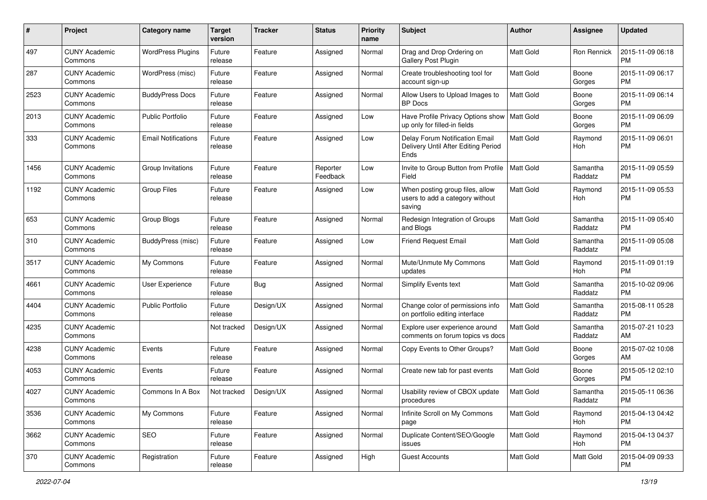| #    | Project                         | <b>Category name</b>       | <b>Target</b><br>version | <b>Tracker</b> | <b>Status</b>        | <b>Priority</b><br>name | Subject                                                                       | Author           | Assignee            | <b>Updated</b>                |
|------|---------------------------------|----------------------------|--------------------------|----------------|----------------------|-------------------------|-------------------------------------------------------------------------------|------------------|---------------------|-------------------------------|
| 497  | <b>CUNY Academic</b><br>Commons | <b>WordPress Plugins</b>   | Future<br>release        | Feature        | Assigned             | Normal                  | Drag and Drop Ordering on<br>Gallery Post Plugin                              | <b>Matt Gold</b> | <b>Ron Rennick</b>  | 2015-11-09 06:18<br><b>PM</b> |
| 287  | <b>CUNY Academic</b><br>Commons | WordPress (misc)           | Future<br>release        | Feature        | Assigned             | Normal                  | Create troubleshooting tool for<br>account sign-up                            | Matt Gold        | Boone<br>Gorges     | 2015-11-09 06:17<br><b>PM</b> |
| 2523 | CUNY Academic<br>Commons        | <b>BuddyPress Docs</b>     | Future<br>release        | Feature        | Assigned             | Normal                  | Allow Users to Upload Images to<br><b>BP</b> Docs                             | Matt Gold        | Boone<br>Gorges     | 2015-11-09 06:14<br><b>PM</b> |
| 2013 | <b>CUNY Academic</b><br>Commons | <b>Public Portfolio</b>    | Future<br>release        | Feature        | Assigned             | Low                     | Have Profile Privacy Options show   Matt Gold<br>up only for filled-in fields |                  | Boone<br>Gorges     | 2015-11-09 06:09<br><b>PM</b> |
| 333  | <b>CUNY Academic</b><br>Commons | <b>Email Notifications</b> | Future<br>release        | Feature        | Assigned             | Low                     | Delay Forum Notification Email<br>Delivery Until After Editing Period<br>Ends | Matt Gold        | Raymond<br>Hoh      | 2015-11-09 06:01<br><b>PM</b> |
| 1456 | <b>CUNY Academic</b><br>Commons | Group Invitations          | Future<br>release        | Feature        | Reporter<br>Feedback | Low                     | Invite to Group Button from Profile<br>Field                                  | <b>Matt Gold</b> | Samantha<br>Raddatz | 2015-11-09 05:59<br><b>PM</b> |
| 1192 | <b>CUNY Academic</b><br>Commons | <b>Group Files</b>         | Future<br>release        | Feature        | Assigned             | Low                     | When posting group files, allow<br>users to add a category without<br>saving  | Matt Gold        | Raymond<br>Hoh      | 2015-11-09 05:53<br><b>PM</b> |
| 653  | <b>CUNY Academic</b><br>Commons | Group Blogs                | Future<br>release        | Feature        | Assigned             | Normal                  | Redesign Integration of Groups<br>and Blogs                                   | Matt Gold        | Samantha<br>Raddatz | 2015-11-09 05:40<br><b>PM</b> |
| 310  | <b>CUNY Academic</b><br>Commons | BuddyPress (misc)          | Future<br>release        | Feature        | Assigned             | Low                     | <b>Friend Request Email</b>                                                   | Matt Gold        | Samantha<br>Raddatz | 2015-11-09 05:08<br><b>PM</b> |
| 3517 | <b>CUNY Academic</b><br>Commons | My Commons                 | Future<br>release        | Feature        | Assigned             | Normal                  | Mute/Unmute My Commons<br>updates                                             | <b>Matt Gold</b> | Raymond<br>Hoh      | 2015-11-09 01:19<br><b>PM</b> |
| 4661 | <b>CUNY Academic</b><br>Commons | User Experience            | Future<br>release        | Bug            | Assigned             | Normal                  | <b>Simplify Events text</b>                                                   | <b>Matt Gold</b> | Samantha<br>Raddatz | 2015-10-02 09:06<br><b>PM</b> |
| 4404 | <b>CUNY Academic</b><br>Commons | <b>Public Portfolio</b>    | Future<br>release        | Design/UX      | Assigned             | Normal                  | Change color of permissions info<br>on portfolio editing interface            | Matt Gold        | Samantha<br>Raddatz | 2015-08-11 05:28<br><b>PM</b> |
| 4235 | <b>CUNY Academic</b><br>Commons |                            | Not tracked              | Design/UX      | Assigned             | Normal                  | Explore user experience around<br>comments on forum topics vs docs            | <b>Matt Gold</b> | Samantha<br>Raddatz | 2015-07-21 10:23<br>AM        |
| 4238 | <b>CUNY Academic</b><br>Commons | Events                     | Future<br>release        | Feature        | Assigned             | Normal                  | Copy Events to Other Groups?                                                  | Matt Gold        | Boone<br>Gorges     | 2015-07-02 10:08<br>AM        |
| 4053 | <b>CUNY Academic</b><br>Commons | Events                     | Future<br>release        | Feature        | Assigned             | Normal                  | Create new tab for past events                                                | Matt Gold        | Boone<br>Gorges     | 2015-05-12 02:10<br><b>PM</b> |
| 4027 | CUNY Academic<br>Commons        | Commons In A Box           | Not tracked              | Design/UX      | Assigned             | Normal                  | Usability review of CBOX update<br>procedures                                 | <b>Matt Gold</b> | Samantha<br>Raddatz | 2015-05-11 06:36<br>PM        |
| 3536 | <b>CUNY Academic</b><br>Commons | My Commons                 | Future<br>release        | Feature        | Assigned             | Normal                  | Infinite Scroll on My Commons<br>page                                         | Matt Gold        | Raymond<br>Hoh      | 2015-04-13 04:42<br>PM        |
| 3662 | <b>CUNY Academic</b><br>Commons | SEO                        | Future<br>release        | Feature        | Assigned             | Normal                  | Duplicate Content/SEO/Google<br>issues                                        | Matt Gold        | Raymond<br>Hoh      | 2015-04-13 04:37<br><b>PM</b> |
| 370  | <b>CUNY Academic</b><br>Commons | Registration               | Future<br>release        | Feature        | Assigned             | High                    | <b>Guest Accounts</b>                                                         | Matt Gold        | Matt Gold           | 2015-04-09 09:33<br><b>PM</b> |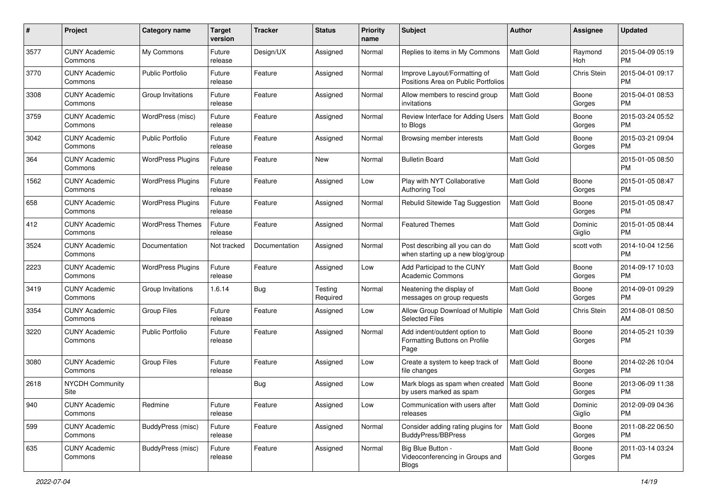| #    | Project                         | <b>Category name</b>     | <b>Target</b><br>version | <b>Tracker</b> | <b>Status</b>       | Priority<br>name | <b>Subject</b>                                                        | <b>Author</b>    | <b>Assignee</b>   | <b>Updated</b>                |
|------|---------------------------------|--------------------------|--------------------------|----------------|---------------------|------------------|-----------------------------------------------------------------------|------------------|-------------------|-------------------------------|
| 3577 | <b>CUNY Academic</b><br>Commons | My Commons               | Future<br>release        | Design/UX      | Assigned            | Normal           | Replies to items in My Commons                                        | <b>Matt Gold</b> | Raymond<br>Hoh    | 2015-04-09 05:19<br><b>PM</b> |
| 3770 | <b>CUNY Academic</b><br>Commons | <b>Public Portfolio</b>  | Future<br>release        | Feature        | Assigned            | Normal           | Improve Layout/Formatting of<br>Positions Area on Public Portfolios   | <b>Matt Gold</b> | Chris Stein       | 2015-04-01 09:17<br><b>PM</b> |
| 3308 | <b>CUNY Academic</b><br>Commons | Group Invitations        | Future<br>release        | Feature        | Assigned            | Normal           | Allow members to rescind group<br>invitations                         | Matt Gold        | Boone<br>Gorges   | 2015-04-01 08:53<br><b>PM</b> |
| 3759 | <b>CUNY Academic</b><br>Commons | WordPress (misc)         | Future<br>release        | Feature        | Assigned            | Normal           | Review Interface for Adding Users<br>to Blogs                         | Matt Gold        | Boone<br>Gorges   | 2015-03-24 05:52<br>PM.       |
| 3042 | <b>CUNY Academic</b><br>Commons | Public Portfolio         | Future<br>release        | Feature        | Assigned            | Normal           | Browsing member interests                                             | <b>Matt Gold</b> | Boone<br>Gorges   | 2015-03-21 09:04<br><b>PM</b> |
| 364  | <b>CUNY Academic</b><br>Commons | <b>WordPress Plugins</b> | Future<br>release        | Feature        | New                 | Normal           | <b>Bulletin Board</b>                                                 | <b>Matt Gold</b> |                   | 2015-01-05 08:50<br><b>PM</b> |
| 1562 | <b>CUNY Academic</b><br>Commons | <b>WordPress Plugins</b> | Future<br>release        | Feature        | Assigned            | Low              | Play with NYT Collaborative<br>Authoring Tool                         | Matt Gold        | Boone<br>Gorges   | 2015-01-05 08:47<br><b>PM</b> |
| 658  | <b>CUNY Academic</b><br>Commons | <b>WordPress Plugins</b> | Future<br>release        | Feature        | Assigned            | Normal           | Rebulid Sitewide Tag Suggestion                                       | <b>Matt Gold</b> | Boone<br>Gorges   | 2015-01-05 08:47<br>PM.       |
| 412  | <b>CUNY Academic</b><br>Commons | <b>WordPress Themes</b>  | Future<br>release        | Feature        | Assigned            | Normal           | <b>Featured Themes</b>                                                | <b>Matt Gold</b> | Dominic<br>Giglio | 2015-01-05 08:44<br><b>PM</b> |
| 3524 | <b>CUNY Academic</b><br>Commons | Documentation            | Not tracked              | Documentation  | Assigned            | Normal           | Post describing all you can do<br>when starting up a new blog/group   | Matt Gold        | scott voth        | 2014-10-04 12:56<br><b>PM</b> |
| 2223 | <b>CUNY Academic</b><br>Commons | <b>WordPress Plugins</b> | Future<br>release        | Feature        | Assigned            | Low              | Add Participad to the CUNY<br><b>Academic Commons</b>                 | Matt Gold        | Boone<br>Gorges   | 2014-09-17 10:03<br><b>PM</b> |
| 3419 | <b>CUNY Academic</b><br>Commons | Group Invitations        | 1.6.14                   | Bug            | Testing<br>Required | Normal           | Neatening the display of<br>messages on group requests                | <b>Matt Gold</b> | Boone<br>Gorges   | 2014-09-01 09:29<br><b>PM</b> |
| 3354 | <b>CUNY Academic</b><br>Commons | <b>Group Files</b>       | Future<br>release        | Feature        | Assigned            | Low              | Allow Group Download of Multiple<br><b>Selected Files</b>             | <b>Matt Gold</b> | Chris Stein       | 2014-08-01 08:50<br>AM        |
| 3220 | <b>CUNY Academic</b><br>Commons | Public Portfolio         | Future<br>release        | Feature        | Assigned            | Normal           | Add indent/outdent option to<br>Formatting Buttons on Profile<br>Page | Matt Gold        | Boone<br>Gorges   | 2014-05-21 10:39<br><b>PM</b> |
| 3080 | <b>CUNY Academic</b><br>Commons | <b>Group Files</b>       | Future<br>release        | Feature        | Assigned            | Low              | Create a system to keep track of<br>file changes                      | <b>Matt Gold</b> | Boone<br>Gorges   | 2014-02-26 10:04<br><b>PM</b> |
| 2618 | <b>NYCDH Community</b><br>Site  |                          |                          | Bug            | Assigned            | Low              | Mark blogs as spam when created<br>by users marked as spam            | <b>Matt Gold</b> | Boone<br>Gorges   | 2013-06-09 11:38<br>PM        |
| 940  | <b>CUNY Academic</b><br>Commons | Redmine                  | Future<br>release        | Feature        | Assigned            | Low              | Communication with users after<br>releases                            | Matt Gold        | Dominic<br>Giglio | 2012-09-09 04:36<br><b>PM</b> |
| 599  | <b>CUNY Academic</b><br>Commons | BuddyPress (misc)        | Future<br>release        | Feature        | Assigned            | Normal           | Consider adding rating plugins for<br>BuddyPress/BBPress              | Matt Gold        | Boone<br>Gorges   | 2011-08-22 06:50<br><b>PM</b> |
| 635  | <b>CUNY Academic</b><br>Commons | BuddyPress (misc)        | Future<br>release        | Feature        | Assigned            | Normal           | Big Blue Button -<br>Videoconferencing in Groups and<br>Blogs         | Matt Gold        | Boone<br>Gorges   | 2011-03-14 03:24<br><b>PM</b> |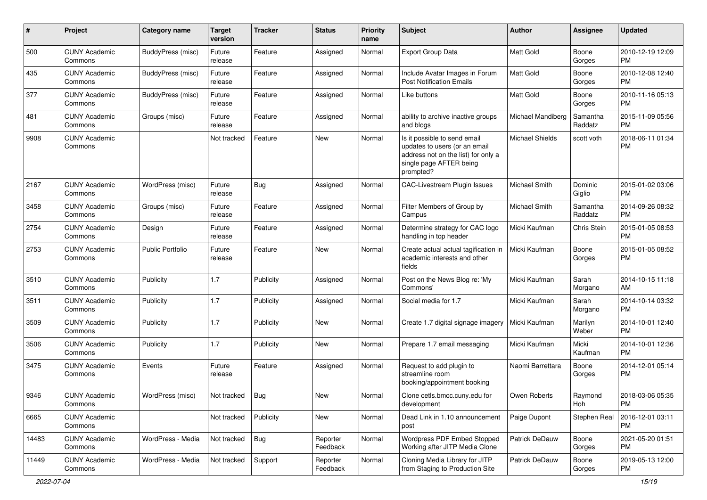| #     | Project                         | Category name            | <b>Target</b><br>version | <b>Tracker</b> | <b>Status</b>        | <b>Priority</b><br>name | <b>Subject</b>                                                                                                                               | Author                 | <b>Assignee</b>     | <b>Updated</b>                |
|-------|---------------------------------|--------------------------|--------------------------|----------------|----------------------|-------------------------|----------------------------------------------------------------------------------------------------------------------------------------------|------------------------|---------------------|-------------------------------|
| 500   | <b>CUNY Academic</b><br>Commons | <b>BuddyPress (misc)</b> | Future<br>release        | Feature        | Assigned             | Normal                  | <b>Export Group Data</b>                                                                                                                     | <b>Matt Gold</b>       | Boone<br>Gorges     | 2010-12-19 12:09<br><b>PM</b> |
| 435   | <b>CUNY Academic</b><br>Commons | BuddyPress (misc)        | Future<br>release        | Feature        | Assigned             | Normal                  | Include Avatar Images in Forum<br><b>Post Notification Emails</b>                                                                            | Matt Gold              | Boone<br>Gorges     | 2010-12-08 12:40<br><b>PM</b> |
| 377   | <b>CUNY Academic</b><br>Commons | <b>BuddyPress (misc)</b> | Future<br>release        | Feature        | Assigned             | Normal                  | Like buttons                                                                                                                                 | Matt Gold              | Boone<br>Gorges     | 2010-11-16 05:13<br><b>PM</b> |
| 481   | <b>CUNY Academic</b><br>Commons | Groups (misc)            | Future<br>release        | Feature        | Assigned             | Normal                  | ability to archive inactive groups<br>and blogs                                                                                              | Michael Mandiberg      | Samantha<br>Raddatz | 2015-11-09 05:56<br><b>PM</b> |
| 9908  | <b>CUNY Academic</b><br>Commons |                          | Not tracked              | Feature        | New                  | Normal                  | Is it possible to send email<br>updates to users (or an email<br>address not on the list) for only a<br>single page AFTER being<br>prompted? | <b>Michael Shields</b> | scott voth          | 2018-06-11 01:34<br><b>PM</b> |
| 2167  | <b>CUNY Academic</b><br>Commons | WordPress (misc)         | Future<br>release        | Bug            | Assigned             | Normal                  | CAC-Livestream Plugin Issues                                                                                                                 | <b>Michael Smith</b>   | Dominic<br>Giglio   | 2015-01-02 03:06<br><b>PM</b> |
| 3458  | <b>CUNY Academic</b><br>Commons | Groups (misc)            | Future<br>release        | Feature        | Assigned             | Normal                  | Filter Members of Group by<br>Campus                                                                                                         | Michael Smith          | Samantha<br>Raddatz | 2014-09-26 08:32<br><b>PM</b> |
| 2754  | <b>CUNY Academic</b><br>Commons | Design                   | Future<br>release        | Feature        | Assigned             | Normal                  | Determine strategy for CAC logo<br>handling in top header                                                                                    | Micki Kaufman          | Chris Stein         | 2015-01-05 08:53<br><b>PM</b> |
| 2753  | <b>CUNY Academic</b><br>Commons | <b>Public Portfolio</b>  | Future<br>release        | Feature        | New                  | Normal                  | Create actual actual tagification in<br>academic interests and other<br>fields                                                               | Micki Kaufman          | Boone<br>Gorges     | 2015-01-05 08:52<br><b>PM</b> |
| 3510  | <b>CUNY Academic</b><br>Commons | Publicity                | 1.7                      | Publicity      | Assigned             | Normal                  | Post on the News Blog re: 'My<br>Commons'                                                                                                    | Micki Kaufman          | Sarah<br>Morgano    | 2014-10-15 11:18<br>AM        |
| 3511  | <b>CUNY Academic</b><br>Commons | Publicity                | 1.7                      | Publicity      | Assigned             | Normal                  | Social media for 1.7                                                                                                                         | Micki Kaufman          | Sarah<br>Morgano    | 2014-10-14 03:32<br><b>PM</b> |
| 3509  | <b>CUNY Academic</b><br>Commons | Publicity                | 1.7                      | Publicity      | New                  | Normal                  | Create 1.7 digital signage imagery                                                                                                           | Micki Kaufman          | Marilyn<br>Weber    | 2014-10-01 12:40<br><b>PM</b> |
| 3506  | <b>CUNY Academic</b><br>Commons | Publicity                | 1.7                      | Publicity      | New                  | Normal                  | Prepare 1.7 email messaging                                                                                                                  | Micki Kaufman          | Micki<br>Kaufman    | 2014-10-01 12:36<br><b>PM</b> |
| 3475  | <b>CUNY Academic</b><br>Commons | Events                   | Future<br>release        | Feature        | Assigned             | Normal                  | Request to add plugin to<br>streamline room<br>booking/appointment booking                                                                   | Naomi Barrettara       | Boone<br>Gorges     | 2014-12-01 05:14<br><b>PM</b> |
| 9346  | <b>CUNY Academic</b><br>Commons | WordPress (misc)         | Not tracked              | <b>Bug</b>     | New                  | Normal                  | Clone cetls.bmcc.cuny.edu for<br>development                                                                                                 | Owen Roberts           | Raymond<br>Hoh      | 2018-03-06 05:35<br>PM        |
| 6665  | <b>CUNY Academic</b><br>Commons |                          | Not tracked              | Publicity      | New                  | Normal                  | Dead Link in 1.10 announcement<br>post                                                                                                       | Paige Dupont           | Stephen Real        | 2016-12-01 03:11<br><b>PM</b> |
| 14483 | <b>CUNY Academic</b><br>Commons | WordPress - Media        | Not tracked              | Bug            | Reporter<br>Feedback | Normal                  | Wordpress PDF Embed Stopped<br>Working after JITP Media Clone                                                                                | Patrick DeDauw         | Boone<br>Gorges     | 2021-05-20 01:51<br>PM.       |
| 11449 | <b>CUNY Academic</b><br>Commons | WordPress - Media        | Not tracked              | Support        | Reporter<br>Feedback | Normal                  | Cloning Media Library for JITP<br>from Staging to Production Site                                                                            | Patrick DeDauw         | Boone<br>Gorges     | 2019-05-13 12:00<br>PM        |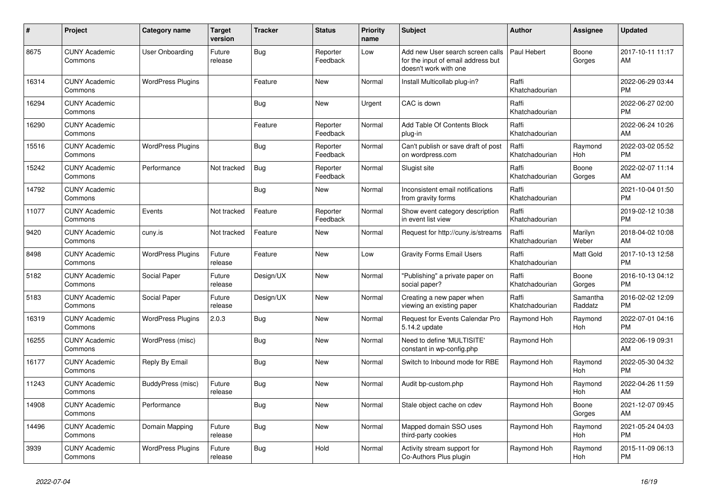| #     | Project                         | <b>Category name</b>     | <b>Target</b><br>version | <b>Tracker</b> | <b>Status</b>        | <b>Priority</b><br>name | <b>Subject</b>                                                                                  | <b>Author</b>           | Assignee            | <b>Updated</b>                |
|-------|---------------------------------|--------------------------|--------------------------|----------------|----------------------|-------------------------|-------------------------------------------------------------------------------------------------|-------------------------|---------------------|-------------------------------|
| 8675  | <b>CUNY Academic</b><br>Commons | User Onboarding          | Future<br>release        | Bug            | Reporter<br>Feedback | Low                     | Add new User search screen calls<br>for the input of email address but<br>doesn't work with one | Paul Hebert             | Boone<br>Gorges     | 2017-10-11 11:17<br>AM        |
| 16314 | <b>CUNY Academic</b><br>Commons | <b>WordPress Plugins</b> |                          | Feature        | <b>New</b>           | Normal                  | Install Multicollab plug-in?                                                                    | Raffi<br>Khatchadourian |                     | 2022-06-29 03:44<br><b>PM</b> |
| 16294 | <b>CUNY Academic</b><br>Commons |                          |                          | Bug            | <b>New</b>           | Urgent                  | CAC is down                                                                                     | Raffi<br>Khatchadourian |                     | 2022-06-27 02:00<br><b>PM</b> |
| 16290 | <b>CUNY Academic</b><br>Commons |                          |                          | Feature        | Reporter<br>Feedback | Normal                  | Add Table Of Contents Block<br>plug-in                                                          | Raffi<br>Khatchadourian |                     | 2022-06-24 10:26<br>AM        |
| 15516 | <b>CUNY Academic</b><br>Commons | <b>WordPress Plugins</b> |                          | <b>Bug</b>     | Reporter<br>Feedback | Normal                  | Can't publish or save draft of post<br>on wordpress.com                                         | Raffi<br>Khatchadourian | Raymond<br>Hoh      | 2022-03-02 05:52<br><b>PM</b> |
| 15242 | <b>CUNY Academic</b><br>Commons | Performance              | Not tracked              | <b>Bug</b>     | Reporter<br>Feedback | Normal                  | Slugist site                                                                                    | Raffi<br>Khatchadourian | Boone<br>Gorges     | 2022-02-07 11:14<br>AM        |
| 14792 | <b>CUNY Academic</b><br>Commons |                          |                          | Bug            | <b>New</b>           | Normal                  | Inconsistent email notifications<br>from gravity forms                                          | Raffi<br>Khatchadourian |                     | 2021-10-04 01:50<br><b>PM</b> |
| 11077 | <b>CUNY Academic</b><br>Commons | Events                   | Not tracked              | Feature        | Reporter<br>Feedback | Normal                  | Show event category description<br>in event list view                                           | Raffi<br>Khatchadourian |                     | 2019-02-12 10:38<br><b>PM</b> |
| 9420  | <b>CUNY Academic</b><br>Commons | cuny.is                  | Not tracked              | Feature        | <b>New</b>           | Normal                  | Request for http://cuny.is/streams                                                              | Raffi<br>Khatchadourian | Marilyn<br>Weber    | 2018-04-02 10:08<br>AM        |
| 8498  | <b>CUNY Academic</b><br>Commons | <b>WordPress Plugins</b> | Future<br>release        | Feature        | <b>New</b>           | Low                     | <b>Gravity Forms Email Users</b>                                                                | Raffi<br>Khatchadourian | Matt Gold           | 2017-10-13 12:58<br><b>PM</b> |
| 5182  | <b>CUNY Academic</b><br>Commons | Social Paper             | Future<br>release        | Design/UX      | New                  | Normal                  | "Publishing" a private paper on<br>social paper?                                                | Raffi<br>Khatchadourian | Boone<br>Gorges     | 2016-10-13 04:12<br><b>PM</b> |
| 5183  | <b>CUNY Academic</b><br>Commons | Social Paper             | Future<br>release        | Design/UX      | <b>New</b>           | Normal                  | Creating a new paper when<br>viewing an existing paper                                          | Raffi<br>Khatchadourian | Samantha<br>Raddatz | 2016-02-02 12:09<br><b>PM</b> |
| 16319 | <b>CUNY Academic</b><br>Commons | <b>WordPress Plugins</b> | 2.0.3                    | <b>Bug</b>     | <b>New</b>           | Normal                  | Request for Events Calendar Pro<br>5.14.2 update                                                | Raymond Hoh             | Raymond<br>Hoh      | 2022-07-01 04:16<br><b>PM</b> |
| 16255 | <b>CUNY Academic</b><br>Commons | WordPress (misc)         |                          | Bug            | New                  | Normal                  | Need to define 'MULTISITE'<br>constant in wp-config.php                                         | Raymond Hoh             |                     | 2022-06-19 09:31<br>AM        |
| 16177 | <b>CUNY Academic</b><br>Commons | Reply By Email           |                          | Bug            | New                  | Normal                  | Switch to Inbound mode for RBE                                                                  | Raymond Hoh             | Raymond<br>Hoh      | 2022-05-30 04:32<br><b>PM</b> |
| 11243 | <b>CUNY Academic</b><br>Commons | BuddyPress (misc)        | Future<br>release        | Bug            | <b>New</b>           | Normal                  | Audit bp-custom.php                                                                             | Raymond Hoh             | Raymond<br>Hoh      | 2022-04-26 11:59<br>AM        |
| 14908 | <b>CUNY Academic</b><br>Commons | Performance              |                          | <b>Bug</b>     | <b>New</b>           | Normal                  | Stale object cache on cdev                                                                      | Raymond Hoh             | Boone<br>Gorges     | 2021-12-07 09:45<br>AM        |
| 14496 | <b>CUNY Academic</b><br>Commons | Domain Mapping           | Future<br>release        | Bug            | New                  | Normal                  | Mapped domain SSO uses<br>third-party cookies                                                   | Raymond Hoh             | Raymond<br>Hoh      | 2021-05-24 04:03<br><b>PM</b> |
| 3939  | <b>CUNY Academic</b><br>Commons | <b>WordPress Plugins</b> | Future<br>release        | <b>Bug</b>     | Hold                 | Normal                  | Activity stream support for<br>Co-Authors Plus plugin                                           | Raymond Hoh             | Raymond<br>Hoh      | 2015-11-09 06:13<br><b>PM</b> |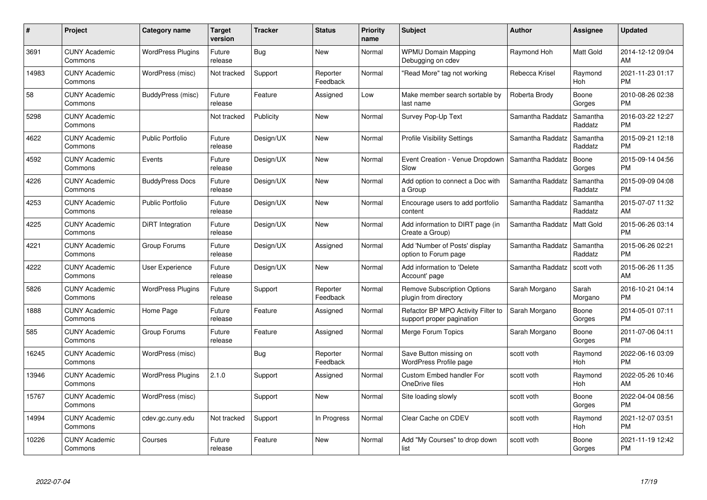| $\#$  | Project                         | <b>Category name</b>     | <b>Target</b><br>version | <b>Tracker</b> | <b>Status</b>        | <b>Priority</b><br>name | <b>Subject</b>                                                  | <b>Author</b>    | Assignee            | <b>Updated</b>                |
|-------|---------------------------------|--------------------------|--------------------------|----------------|----------------------|-------------------------|-----------------------------------------------------------------|------------------|---------------------|-------------------------------|
| 3691  | <b>CUNY Academic</b><br>Commons | <b>WordPress Plugins</b> | Future<br>release        | Bug            | <b>New</b>           | Normal                  | <b>WPMU Domain Mapping</b><br>Debugging on cdev                 | Raymond Hoh      | <b>Matt Gold</b>    | 2014-12-12 09:04<br>AM        |
| 14983 | <b>CUNY Academic</b><br>Commons | WordPress (misc)         | Not tracked              | Support        | Reporter<br>Feedback | Normal                  | "Read More" tag not working                                     | Rebecca Krisel   | Raymond<br>Hoh      | 2021-11-23 01:17<br><b>PM</b> |
| 58    | <b>CUNY Academic</b><br>Commons | BuddyPress (misc)        | Future<br>release        | Feature        | Assigned             | Low                     | Make member search sortable by<br>last name                     | Roberta Brody    | Boone<br>Gorges     | 2010-08-26 02:38<br><b>PM</b> |
| 5298  | <b>CUNY Academic</b><br>Commons |                          | Not tracked              | Publicity      | <b>New</b>           | Normal                  | Survey Pop-Up Text                                              | Samantha Raddatz | Samantha<br>Raddatz | 2016-03-22 12:27<br><b>PM</b> |
| 4622  | <b>CUNY Academic</b><br>Commons | <b>Public Portfolio</b>  | Future<br>release        | Design/UX      | <b>New</b>           | Normal                  | <b>Profile Visibility Settings</b>                              | Samantha Raddatz | Samantha<br>Raddatz | 2015-09-21 12:18<br><b>PM</b> |
| 4592  | <b>CUNY Academic</b><br>Commons | Events                   | Future<br>release        | Design/UX      | <b>New</b>           | Normal                  | Event Creation - Venue Dropdown<br>Slow                         | Samantha Raddatz | Boone<br>Gorges     | 2015-09-14 04:56<br><b>PM</b> |
| 4226  | <b>CUNY Academic</b><br>Commons | <b>BuddyPress Docs</b>   | Future<br>release        | Design/UX      | <b>New</b>           | Normal                  | Add option to connect a Doc with<br>a Group                     | Samantha Raddatz | Samantha<br>Raddatz | 2015-09-09 04:08<br><b>PM</b> |
| 4253  | <b>CUNY Academic</b><br>Commons | <b>Public Portfolio</b>  | Future<br>release        | Design/UX      | <b>New</b>           | Normal                  | Encourage users to add portfolio<br>content                     | Samantha Raddatz | Samantha<br>Raddatz | 2015-07-07 11:32<br>AM        |
| 4225  | <b>CUNY Academic</b><br>Commons | DiRT Integration         | Future<br>release        | Design/UX      | New                  | Normal                  | Add information to DIRT page (in<br>Create a Group)             | Samantha Raddatz | <b>Matt Gold</b>    | 2015-06-26 03:14<br><b>PM</b> |
| 4221  | <b>CUNY Academic</b><br>Commons | Group Forums             | Future<br>release        | Design/UX      | Assigned             | Normal                  | Add 'Number of Posts' display<br>option to Forum page           | Samantha Raddatz | Samantha<br>Raddatz | 2015-06-26 02:21<br><b>PM</b> |
| 4222  | <b>CUNY Academic</b><br>Commons | <b>User Experience</b>   | Future<br>release        | Design/UX      | <b>New</b>           | Normal                  | Add information to 'Delete<br>Account' page                     | Samantha Raddatz | scott voth          | 2015-06-26 11:35<br>AM        |
| 5826  | <b>CUNY Academic</b><br>Commons | <b>WordPress Plugins</b> | Future<br>release        | Support        | Reporter<br>Feedback | Normal                  | <b>Remove Subscription Options</b><br>plugin from directory     | Sarah Morgano    | Sarah<br>Morgano    | 2016-10-21 04:14<br><b>PM</b> |
| 1888  | <b>CUNY Academic</b><br>Commons | Home Page                | Future<br>release        | Feature        | Assigned             | Normal                  | Refactor BP MPO Activity Filter to<br>support proper pagination | Sarah Morgano    | Boone<br>Gorges     | 2014-05-01 07:11<br><b>PM</b> |
| 585   | <b>CUNY Academic</b><br>Commons | Group Forums             | Future<br>release        | Feature        | Assigned             | Normal                  | Merge Forum Topics                                              | Sarah Morgano    | Boone<br>Gorges     | 2011-07-06 04:11<br><b>PM</b> |
| 16245 | <b>CUNY Academic</b><br>Commons | WordPress (misc)         |                          | <b>Bug</b>     | Reporter<br>Feedback | Normal                  | Save Button missing on<br>WordPress Profile page                | scott voth       | Raymond<br>Hoh      | 2022-06-16 03:09<br><b>PM</b> |
| 13946 | <b>CUNY Academic</b><br>Commons | <b>WordPress Plugins</b> | 2.1.0                    | Support        | Assigned             | Normal                  | <b>Custom Embed handler For</b><br>OneDrive files               | scott voth       | Raymond<br>Hoh      | 2022-05-26 10:46<br>AM        |
| 15767 | <b>CUNY Academic</b><br>Commons | WordPress (misc)         |                          | Support        | New                  | Normal                  | Site loading slowly                                             | scott voth       | Boone<br>Gorges     | 2022-04-04 08:56<br><b>PM</b> |
| 14994 | <b>CUNY Academic</b><br>Commons | cdev.gc.cuny.edu         | Not tracked              | Support        | In Progress          | Normal                  | Clear Cache on CDEV                                             | scott voth       | Raymond<br>Hoh      | 2021-12-07 03:51<br><b>PM</b> |
| 10226 | CUNY Academic<br>Commons        | Courses                  | Future<br>release        | Feature        | <b>New</b>           | Normal                  | Add "My Courses" to drop down<br>list                           | scott voth       | Boone<br>Gorges     | 2021-11-19 12:42<br><b>PM</b> |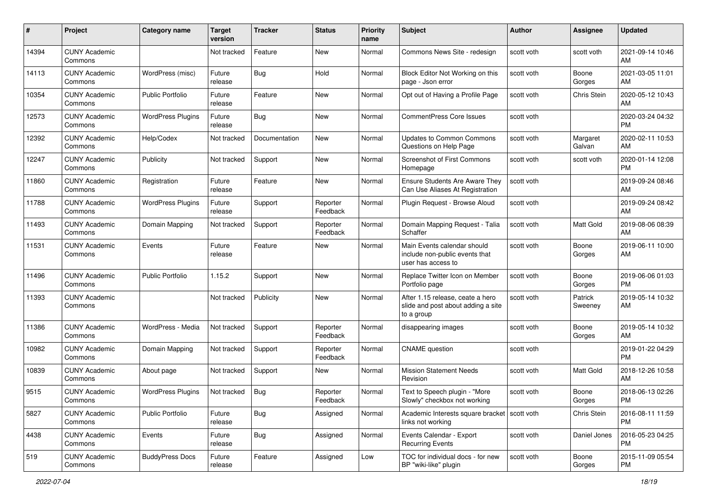| #     | Project                         | <b>Category name</b>     | <b>Target</b><br>version | Tracker       | <b>Status</b>        | <b>Priority</b><br>name | <b>Subject</b>                                                                       | <b>Author</b> | <b>Assignee</b>    | <b>Updated</b>                |
|-------|---------------------------------|--------------------------|--------------------------|---------------|----------------------|-------------------------|--------------------------------------------------------------------------------------|---------------|--------------------|-------------------------------|
| 14394 | <b>CUNY Academic</b><br>Commons |                          | Not tracked              | Feature       | New                  | Normal                  | Commons News Site - redesign                                                         | scott voth    | scott voth         | 2021-09-14 10:46<br>AM        |
| 14113 | <b>CUNY Academic</b><br>Commons | WordPress (misc)         | Future<br>release        | Bug           | Hold                 | Normal                  | Block Editor Not Working on this<br>page - Json error                                | scott voth    | Boone<br>Gorges    | 2021-03-05 11:01<br>AM.       |
| 10354 | <b>CUNY Academic</b><br>Commons | Public Portfolio         | Future<br>release        | Feature       | New                  | Normal                  | Opt out of Having a Profile Page                                                     | scott voth    | Chris Stein        | 2020-05-12 10:43<br>AM.       |
| 12573 | <b>CUNY Academic</b><br>Commons | <b>WordPress Plugins</b> | Future<br>release        | Bug           | New                  | Normal                  | <b>CommentPress Core Issues</b>                                                      | scott voth    |                    | 2020-03-24 04:32<br><b>PM</b> |
| 12392 | <b>CUNY Academic</b><br>Commons | Help/Codex               | Not tracked              | Documentation | New                  | Normal                  | <b>Updates to Common Commons</b><br>Questions on Help Page                           | scott voth    | Margaret<br>Galvan | 2020-02-11 10:53<br>AM        |
| 12247 | <b>CUNY Academic</b><br>Commons | Publicity                | Not tracked              | Support       | New                  | Normal                  | Screenshot of First Commons<br>Homepage                                              | scott voth    | scott voth         | 2020-01-14 12:08<br>PM.       |
| 11860 | <b>CUNY Academic</b><br>Commons | Registration             | Future<br>release        | Feature       | New                  | Normal                  | <b>Ensure Students Are Aware They</b><br>Can Use Aliases At Registration             | scott voth    |                    | 2019-09-24 08:46<br>AM.       |
| 11788 | <b>CUNY Academic</b><br>Commons | <b>WordPress Plugins</b> | Future<br>release        | Support       | Reporter<br>Feedback | Normal                  | Plugin Request - Browse Aloud                                                        | scott voth    |                    | 2019-09-24 08:42<br>AM.       |
| 11493 | <b>CUNY Academic</b><br>Commons | Domain Mapping           | Not tracked              | Support       | Reporter<br>Feedback | Normal                  | Domain Mapping Request - Talia<br>Schaffer                                           | scott voth    | <b>Matt Gold</b>   | 2019-08-06 08:39<br>AM        |
| 11531 | <b>CUNY Academic</b><br>Commons | Events                   | Future<br>release        | Feature       | New                  | Normal                  | Main Events calendar should<br>include non-public events that<br>user has access to  | scott voth    | Boone<br>Gorges    | 2019-06-11 10:00<br>AM        |
| 11496 | <b>CUNY Academic</b><br>Commons | <b>Public Portfolio</b>  | 1.15.2                   | Support       | New                  | Normal                  | Replace Twitter Icon on Member<br>Portfolio page                                     | scott voth    | Boone<br>Gorges    | 2019-06-06 01:03<br><b>PM</b> |
| 11393 | <b>CUNY Academic</b><br>Commons |                          | Not tracked              | Publicity     | New                  | Normal                  | After 1.15 release, ceate a hero<br>slide and post about adding a site<br>to a group | scott voth    | Patrick<br>Sweeney | 2019-05-14 10:32<br>AM        |
| 11386 | <b>CUNY Academic</b><br>Commons | WordPress - Media        | Not tracked              | Support       | Reporter<br>Feedback | Normal                  | disappearing images                                                                  | scott voth    | Boone<br>Gorges    | 2019-05-14 10:32<br>AM        |
| 10982 | <b>CUNY Academic</b><br>Commons | Domain Mapping           | Not tracked              | Support       | Reporter<br>Feedback | Normal                  | <b>CNAME</b> question                                                                | scott voth    |                    | 2019-01-22 04:29<br><b>PM</b> |
| 10839 | <b>CUNY Academic</b><br>Commons | About page               | Not tracked              | Support       | New                  | Normal                  | <b>Mission Statement Needs</b><br>Revision                                           | scott voth    | Matt Gold          | 2018-12-26 10:58<br>AM.       |
| 9515  | <b>CUNY Academic</b><br>Commons | <b>WordPress Plugins</b> | Not tracked              | Bug           | Reporter<br>Feedback | Normal                  | Text to Speech plugin - "More<br>Slowly" checkbox not working                        | scott voth    | Boone<br>Gorges    | 2018-06-13 02:26<br>PM        |
| 5827  | <b>CUNY Academic</b><br>Commons | <b>Public Portfolio</b>  | Future<br>release        | Bug           | Assigned             | Normal                  | Academic Interests square bracket   scott voth<br>links not working                  |               | Chris Stein        | 2016-08-11 11:59<br><b>PM</b> |
| 4438  | <b>CUNY Academic</b><br>Commons | Events                   | Future<br>release        | <b>Bug</b>    | Assigned             | Normal                  | Events Calendar - Export<br><b>Recurring Events</b>                                  | scott voth    | Daniel Jones       | 2016-05-23 04:25<br><b>PM</b> |
| 519   | <b>CUNY Academic</b><br>Commons | <b>BuddyPress Docs</b>   | Future<br>release        | Feature       | Assigned             | Low                     | TOC for individual docs - for new<br>BP "wiki-like" plugin                           | scott voth    | Boone<br>Gorges    | 2015-11-09 05:54<br><b>PM</b> |